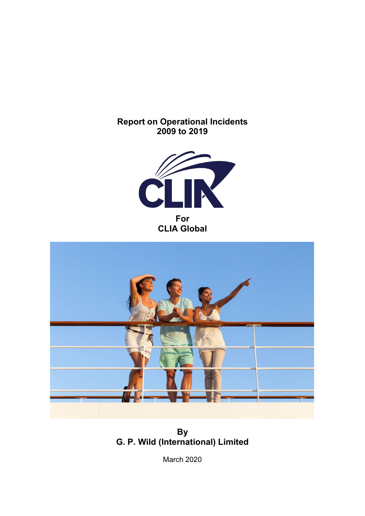**Report on Operational Incidents 2009 to 2019**





**By G. P. Wild (International) Limited**

March 2020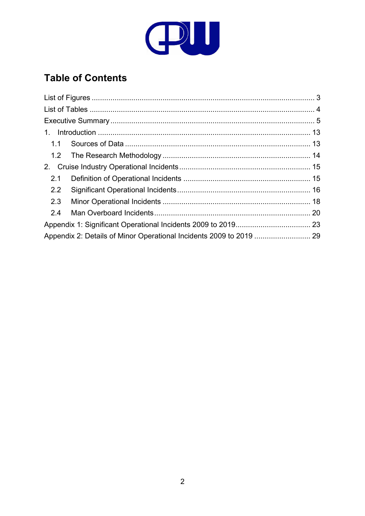

# **Table of Contents**

| Appendix 2: Details of Minor Operational Incidents 2009 to 2019  29 |
|---------------------------------------------------------------------|
|                                                                     |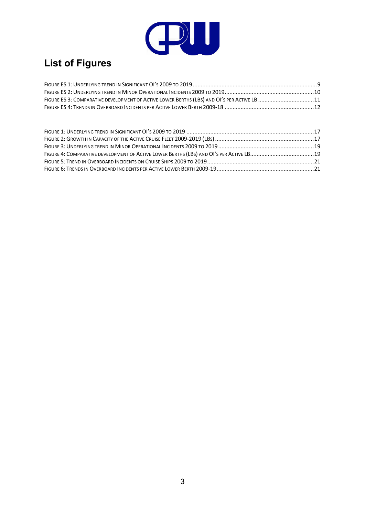

# <span id="page-2-0"></span>**List of Figures**

| FIGURE ES 3: COMPARATIVE DEVELOPMENT OF ACTIVE LOWER BERTHS (LBS) AND OI'S PER ACTIVE LB 11 |  |
|---------------------------------------------------------------------------------------------|--|
|                                                                                             |  |

| FIGURE 4: COMPARATIVE DEVELOPMENT OF ACTIVE LOWER BERTHS (LBS) AND OI'S PER ACTIVE LB19 |  |
|-----------------------------------------------------------------------------------------|--|
|                                                                                         |  |
|                                                                                         |  |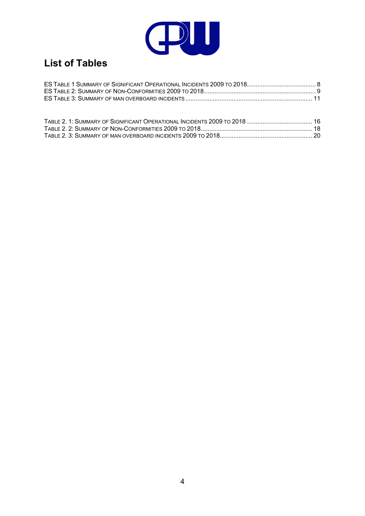

# <span id="page-3-0"></span>**List of Tables**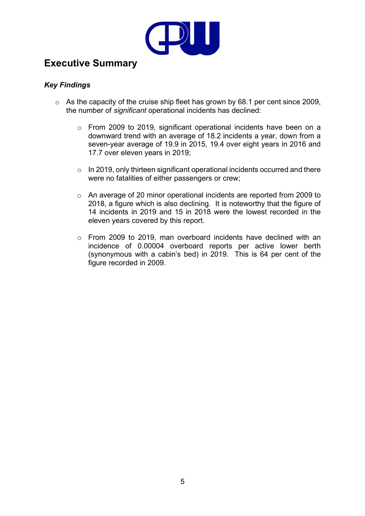

# <span id="page-4-0"></span>**Executive Summary**

#### *Key Findings*

- o As the capacity of the cruise ship fleet has grown by 68.1 per cent since 2009, the number of *significant* operational incidents has declined:
	- o From 2009 to 2019, significant operational incidents have been on a downward trend with an average of 18.2 incidents a year, down from a seven-year average of 19.9 in 2015, 19.4 over eight years in 2016 and 17.7 over eleven years in 2019;
	- o In 2019, only thirteen significant operational incidents occurred and there were no fatalities of either passengers or crew;
	- o An average of 20 minor operational incidents are reported from 2009 to 2018, a figure which is also declining. It is noteworthy that the figure of 14 incidents in 2019 and 15 in 2018 were the lowest recorded in the eleven years covered by this report.
	- o From 2009 to 2019, man overboard incidents have declined with an incidence of 0.00004 overboard reports per active lower berth (synonymous with a cabin's bed) in 2019. This is 64 per cent of the figure recorded in 2009.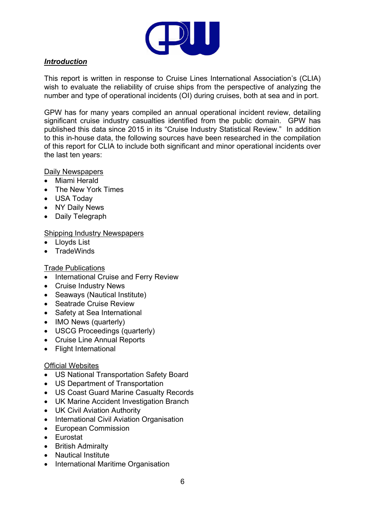

#### *Introduction*

This report is written in response to Cruise Lines International Association's (CLIA) wish to evaluate the reliability of cruise ships from the perspective of analyzing the number and type of operational incidents (OI) during cruises, both at sea and in port.

GPW has for many years compiled an annual operational incident review, detailing significant cruise industry casualties identified from the public domain. GPW has published this data since 2015 in its "Cruise Industry Statistical Review." In addition to this in-house data, the following sources have been researched in the compilation of this report for CLIA to include both significant and minor operational incidents over the last ten years:

#### Daily Newspapers

- Miami Herald
- The New York Times
- USA Today
- NY Daily News
- Daily Telegraph

#### Shipping Industry Newspapers

- Lloyds List
- **TradeWinds**

#### Trade Publications

- International Cruise and Ferry Review
- Cruise Industry News
- Seaways (Nautical Institute)
- Seatrade Cruise Review
- Safety at Sea International
- IMO News (quarterly)
- USCG Proceedings (quarterly)
- Cruise Line Annual Reports
- Flight International

#### Official Websites

- US National Transportation Safety Board
- US Department of Transportation
- US Coast Guard Marine Casualty Records
- UK Marine Accident Investigation Branch
- UK Civil Aviation Authority
- International Civil Aviation Organisation
- European Commission
- Eurostat
- British Admiralty
- Nautical Institute
- International Maritime Organisation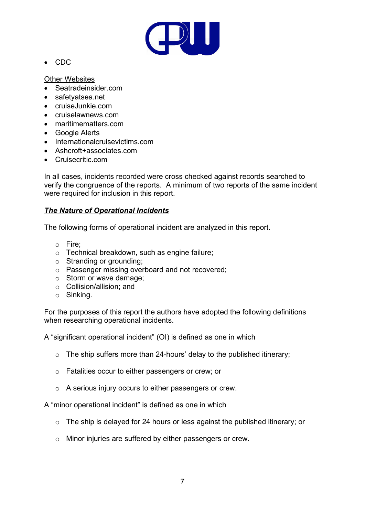

• CDC

Other Websites

- Seatradeinsider.com
- safetyatsea.net
- cruiseJunkie.com
- cruiselawnews.com
- maritimematters.com
- Google Alerts
- Internationalcruisevictims.com
- Ashcroft+associates.com
- Cruisecritic.com

In all cases, incidents recorded were cross checked against records searched to verify the congruence of the reports. A minimum of two reports of the same incident were required for inclusion in this report.

#### *The Nature of Operational Incidents*

The following forms of operational incident are analyzed in this report.

- o Fire;
- o Technical breakdown, such as engine failure;
- o Stranding or grounding;
- o Passenger missing overboard and not recovered;
- o Storm or wave damage;
- o Collision/allision; and
- o Sinking.

For the purposes of this report the authors have adopted the following definitions when researching operational incidents.

A "significant operational incident" (OI) is defined as one in which

- $\circ$  The ship suffers more than 24-hours' delay to the published itinerary;
- o Fatalities occur to either passengers or crew; or
- o A serious injury occurs to either passengers or crew.

A "minor operational incident" is defined as one in which

- o The ship is delayed for 24 hours or less against the published itinerary; or
- o Minor injuries are suffered by either passengers or crew.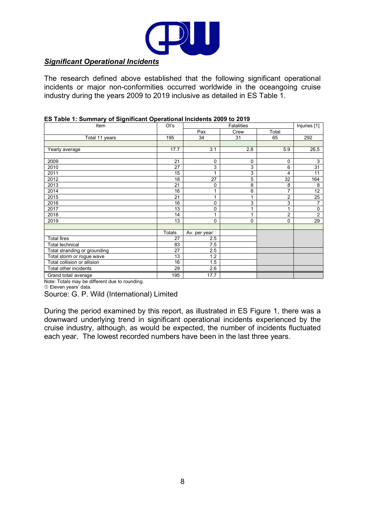

#### *Significant Operational Incidents*

<span id="page-7-0"></span>The research defined above established that the following significant operational incidents or major non-conformities occurred worldwide in the oceangoing cruise industry during the years 2009 to 2019 inclusive as detailed in ES Table 1.

| Item                                          |        |                             | Injuries [1] |                |                |
|-----------------------------------------------|--------|-----------------------------|--------------|----------------|----------------|
|                                               |        | Pax                         | Crew         | Total          |                |
| Total 11 years                                | 195    | 34                          | 31           | 65             | 292            |
|                                               |        |                             |              |                |                |
| Yearly average                                | 17.7   | 3.1                         | 2.8          | 5.9            | 26.5           |
|                                               |        |                             |              |                |                |
| 2009                                          | 21     | 0                           | 0            | 0              | 3              |
| 2010                                          | 27     | 3                           | 3            | 6              | 31             |
| 2011                                          | 15     |                             | 3            | 4              | 11             |
| 2012                                          | 18     | 27                          | 5            | 32             | 164            |
| 2013                                          | 21     | 0                           | 8            | 8              | 8              |
| 2014                                          | 16     |                             | 6            | 7              | 12             |
| 2015                                          | 21     | 1                           | 1            | $\overline{2}$ | 25             |
| 2016                                          | 16     | 0                           | 3            | 3              | $\overline{7}$ |
| 2017                                          | 13     | 0                           | 1            | 1              | 0              |
| 2018                                          | 14     |                             | 1            | 2              | $\overline{2}$ |
| 2019                                          | 13     | 0                           | 0            | 0              | 29             |
|                                               |        |                             |              |                |                |
|                                               | Totals | Av. per year <sup>[1]</sup> |              |                |                |
| <b>Total fires</b>                            | 27     | 2.5                         |              |                |                |
| Total technical                               | 83     | 7.5                         |              |                |                |
| Total stranding or grounding                  | 27     | 2.5                         |              |                |                |
| Total storm or rogue wave                     | 13     | 1.2                         |              |                |                |
| Total collision or allision                   | 16     | 1.5                         |              |                |                |
| Total other incidents                         | 29     | 2.6                         |              |                |                |
| Grand total/ average                          | 195    | 17.7                        |              |                |                |
| Note: Totals may be different due to rounding |        |                             |              |                |                |

#### **ES Table 1: Summary of Significant Operational Incidents 2009 to 2019**

almerent que to rounding.

Eleven years' data.

Source: G. P. Wild (International) Limited

During the period examined by this report, as illustrated in ES Figure 1, there was a downward underlying trend in significant operational incidents experienced by the cruise industry, although, as would be expected, the number of incidents fluctuated each year. The lowest recorded numbers have been in the last three years.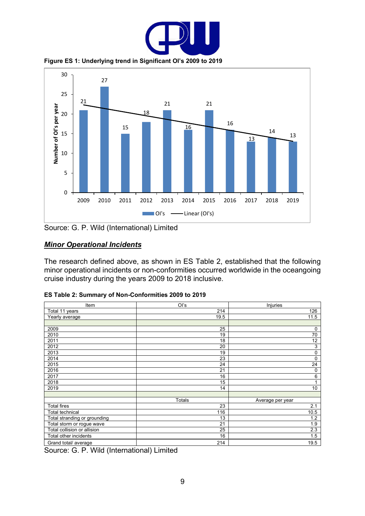

**Figure ES 1: Underlying trend in Significant OI's 2009 to 2019**

<span id="page-8-0"></span>

Source: G. P. Wild (International) Limited

#### *Minor Operational Incidents*

The research defined above, as shown in ES Table 2, established that the following minor operational incidents or non-conformities occurred worldwide in the oceangoing cruise industry during the years 2009 to 2018 inclusive.

| Item                         | Ol's          | Injuries         |
|------------------------------|---------------|------------------|
| Total 11 years               | 214           | 126              |
| Yearly average               | 19.5          | 11.5             |
|                              |               |                  |
| 2009                         | 25            | $\mathbf 0$      |
| 2010                         | 19            | 70               |
| 2011                         | 18            | 12               |
| 2012                         | 20            | 3                |
| 2013                         | 19            | $\mathbf 0$      |
| 2014                         | 23            | $\mathbf 0$      |
| 2015                         | 24            | 24               |
| 2016                         | 21            | 0                |
| 2017                         | 16            | $6\phantom{1}6$  |
| 2018                         | 15            |                  |
| 2019                         | 14            | 10               |
|                              |               |                  |
|                              | <b>Totals</b> | Average per year |
| <b>Total fires</b>           | 23            | 2.1              |
| <b>Total technical</b>       | 116           | 10.5             |
| Total stranding or grounding | 13            | 1.2              |
| Total storm or rogue wave    | 21            | 1.9              |
| Total collision or allision  | 25            | 2.3              |
| Total other incidents        | 16            | 1.5              |
| Grand total/average          | 214           | 19.5             |

<span id="page-8-1"></span>

|  |  | ES Table 2: Summary of Non-Conformities 2009 to 2019 |  |  |
|--|--|------------------------------------------------------|--|--|
|  |  |                                                      |  |  |

Source: G. P. Wild (International) Limited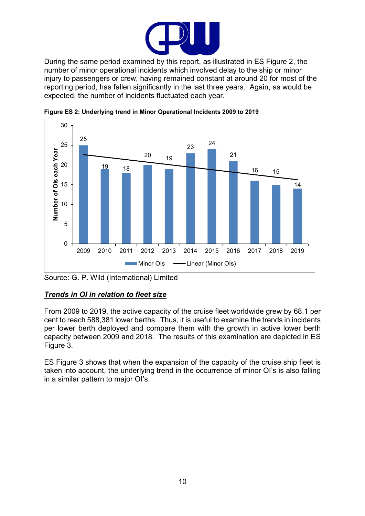

During the same period examined by this report, as illustrated in ES Figure 2, the number of minor operational incidents which involved delay to the ship or minor injury to passengers or crew, having remained constant at around 20 for most of the reporting period, has fallen significantly in the last three years. Again, as would be expected, the number of incidents fluctuated each year.



<span id="page-9-0"></span>**Figure ES 2: Underlying trend in Minor Operational Incidents 2009 to 2019**

### *Trends in OI in relation to fleet size*

From 2009 to 2019, the active capacity of the cruise fleet worldwide grew by 68.1 per cent to reach 588,381 lower berths. Thus, it is useful to examine the trends in incidents per lower berth deployed and compare them with the growth in active lower berth capacity between 2009 and 2018. The results of this examination are depicted in ES Figure 3.

ES Figure 3 shows that when the expansion of the capacity of the cruise ship fleet is taken into account, the underlying trend in the occurrence of minor OI's is also falling in a similar pattern to major OI's.

Source: G. P. Wild (International) Limited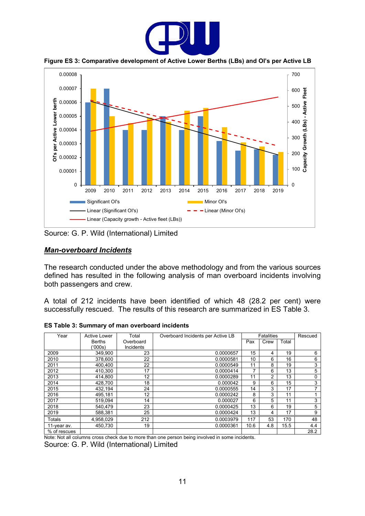

**Figure ES 3: Comparative development of Active Lower Berths (LBs) and OI's per Active LB**

<span id="page-10-0"></span>

Source: G. P. Wild (International) Limited

#### *Man-overboard Incidents*

The research conducted under the above methodology and from the various sources defined has resulted in the following analysis of man overboard incidents involving both passengers and crew.

A total of 212 incidents have been identified of which 48 (28.2 per cent) were successfully rescued. The results of this research are summarized in ES Table 3.

<span id="page-10-1"></span>**ES Table 3: Summary of man overboard incidents**

| Year         | Active Lower  | Total            | Overboard Incidents per Active LB |      | <b>Fatalities</b> |       | Rescued |
|--------------|---------------|------------------|-----------------------------------|------|-------------------|-------|---------|
|              | <b>Berths</b> | Overboard        |                                   | Pax  | Crew              | Total |         |
|              | (1000s)       | <b>Incidents</b> |                                   |      |                   |       |         |
| 2009         | 349.900       | 23               | 0.0000657                         | 15   | 4                 | 19    | 6       |
| 2010         | 378.600       | 22               | 0.0000581                         | 10   | 6                 | 16    | 6       |
| 2011         | 400.400       | 22               | 0.0000549                         | 11   | 8                 | 19    | 3       |
| 2012         | 410,300       | 17               | 0.0000414                         |      | 6                 | 13    | 5       |
| 2013         | 414,800       | 12               | 0.0000289                         | 11   | 2                 | 13    | 0       |
| 2014         | 428,700       | 18               | 0.000042                          | 9    | 6                 | 15    | 3       |
| 2015         | 432,194       | 24               | 0.0000555                         | 14   | 3                 | 17    | 7       |
| 2016         | 495.181       | 12 <sup>2</sup>  | 0.0000242                         | 8    | 3                 | 11    |         |
| 2017         | 519,094       | 14               | 0.000027                          | 6    | 5                 | 11    | 3       |
| 2018         | 540,479       | 23               | 0.0000425                         | 13   | 6                 | 19    | 5       |
| 2019         | 588,381       | 25               | 0.0000424                         | 13   | 4                 | 17    | 9       |
| Totals       | 4,958,029     | 212              | 0.0003979                         | 117  | 53                | 170   | 48      |
| 11-year av.  | 450,730       | 19               | 0.0000361                         | 10.6 | 4.8               | 15.5  | 4.4     |
| % of rescues |               |                  |                                   |      |                   |       | 28.2    |

Note: Not all columns cross check due to more than one person being involved in some incidents.

Source: G. P. Wild (International) Limited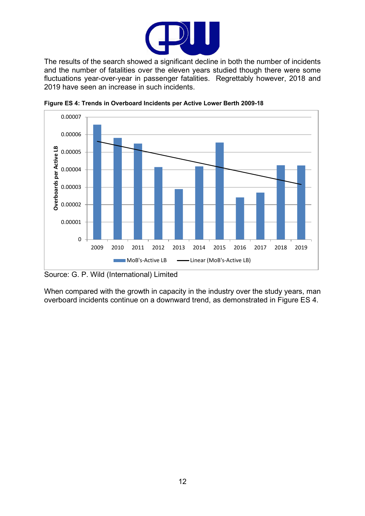

The results of the search showed a significant decline in both the number of incidents and the number of fatalities over the eleven years studied though there were some fluctuations year-over-year in passenger fatalities. Regrettably however, 2018 and 2019 have seen an increase in such incidents.



<span id="page-11-0"></span>**Figure ES 4: Trends in Overboard Incidents per Active Lower Berth 2009-18**

Source: G. P. Wild (International) Limited

When compared with the growth in capacity in the industry over the study years, man overboard incidents continue on a downward trend, as demonstrated in Figure ES 4.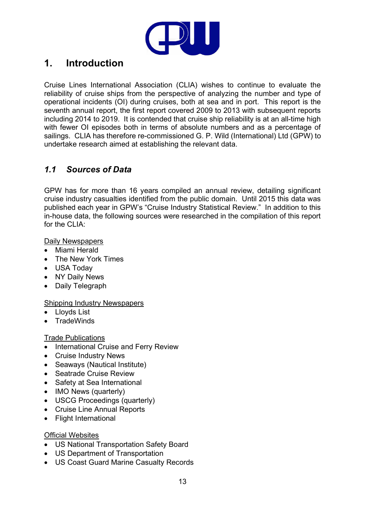

# <span id="page-12-0"></span>**1. Introduction**

Cruise Lines International Association (CLIA) wishes to continue to evaluate the reliability of cruise ships from the perspective of analyzing the number and type of operational incidents (OI) during cruises, both at sea and in port. This report is the seventh annual report, the first report covered 2009 to 2013 with subsequent reports including 2014 to 2019. It is contended that cruise ship reliability is at an all-time high with fewer OI episodes both in terms of absolute numbers and as a percentage of sailings. CLIA has therefore re-commissioned G. P. Wild (International) Ltd (GPW) to undertake research aimed at establishing the relevant data.

### <span id="page-12-1"></span>*1.1 Sources of Data*

GPW has for more than 16 years compiled an annual review, detailing significant cruise industry casualties identified from the public domain. Until 2015 this data was published each year in GPW's "Cruise Industry Statistical Review." In addition to this in-house data, the following sources were researched in the compilation of this report for the CLIA:

Daily Newspapers

- Miami Herald
- The New York Times
- USA Today
- NY Daily News
- Daily Telegraph

#### Shipping Industry Newspapers

- Lloyds List
- TradeWinds

#### Trade Publications

- International Cruise and Ferry Review
- Cruise Industry News
- Seaways (Nautical Institute)
- Seatrade Cruise Review
- Safety at Sea International
- IMO News (quarterly)
- USCG Proceedings (quarterly)
- Cruise Line Annual Reports
- Flight International

#### **Official Websites**

- US National Transportation Safety Board
- US Department of Transportation
- US Coast Guard Marine Casualty Records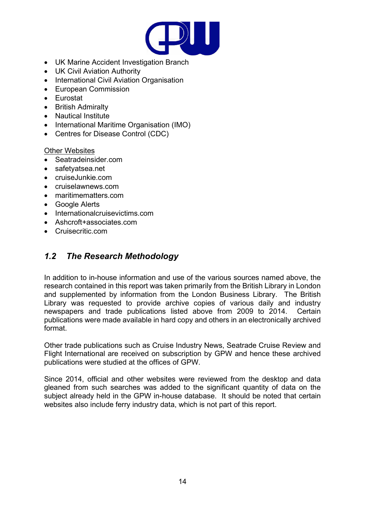

- UK Marine Accident Investigation Branch
- UK Civil Aviation Authority
- International Civil Aviation Organisation
- European Commission
- Eurostat
- British Admiralty
- Nautical Institute
- International Maritime Organisation (IMO)
- Centres for Disease Control (CDC)

#### Other Websites

- Seatradeinsider.com
- safetyatsea.net
- cruiseJunkie.com
- cruiselawnews.com
- maritimematters.com
- Google Alerts
- Internationalcruisevictims.com
- Ashcroft+associates.com
- Cruisecritic.com

### <span id="page-13-0"></span>*1.2 The Research Methodology*

In addition to in-house information and use of the various sources named above, the research contained in this report was taken primarily from the British Library in London and supplemented by information from the London Business Library. The British Library was requested to provide archive copies of various daily and industry newspapers and trade publications listed above from 2009 to 2014. Certain publications were made available in hard copy and others in an electronically archived format.

Other trade publications such as Cruise Industry News, Seatrade Cruise Review and Flight International are received on subscription by GPW and hence these archived publications were studied at the offices of GPW.

Since 2014, official and other websites were reviewed from the desktop and data gleaned from such searches was added to the significant quantity of data on the subject already held in the GPW in-house database. It should be noted that certain websites also include ferry industry data, which is not part of this report.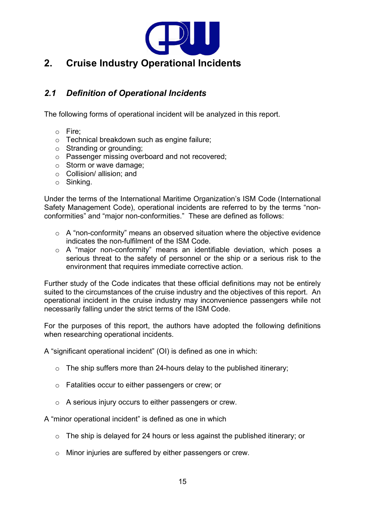

## <span id="page-14-1"></span><span id="page-14-0"></span>*2.1 Definition of Operational Incidents*

The following forms of operational incident will be analyzed in this report.

- o Fire;
- o Technical breakdown such as engine failure;
- o Stranding or grounding;
- o Passenger missing overboard and not recovered;
- o Storm or wave damage;
- o Collision/ allision; and
- o Sinking.

Under the terms of the International Maritime Organization's ISM Code (International Safety Management Code), operational incidents are referred to by the terms "nonconformities" and "major non-conformities." These are defined as follows:

- o A "non-conformity" means an observed situation where the objective evidence indicates the non-fulfilment of the ISM Code.
- o A "major non-conformity" means an identifiable deviation, which poses a serious threat to the safety of personnel or the ship or a serious risk to the environment that requires immediate corrective action.

Further study of the Code indicates that these official definitions may not be entirely suited to the circumstances of the cruise industry and the objectives of this report. An operational incident in the cruise industry may inconvenience passengers while not necessarily falling under the strict terms of the ISM Code.

For the purposes of this report, the authors have adopted the following definitions when researching operational incidents.

A "significant operational incident" (OI) is defined as one in which:

- $\circ$  The ship suffers more than 24-hours delay to the published itinerary;
- o Fatalities occur to either passengers or crew; or
- o A serious injury occurs to either passengers or crew.

A "minor operational incident" is defined as one in which

- o The ship is delayed for 24 hours or less against the published itinerary; or
- o Minor injuries are suffered by either passengers or crew.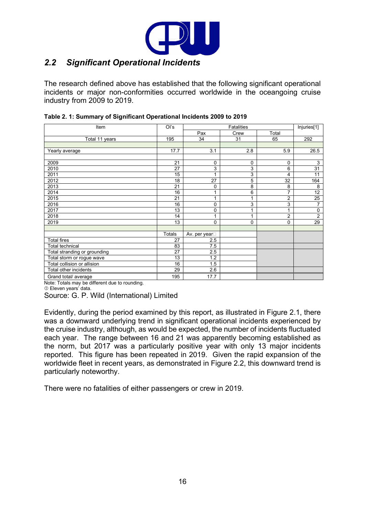

### <span id="page-15-0"></span>*2.2 Significant Operational Incidents*

The research defined above has established that the following significant operational incidents or major non-conformities occurred worldwide in the oceangoing cruise industry from 2009 to 2019.

| Item                                          | Ol's   | Fatalities    |          |                | Injuries[1] |
|-----------------------------------------------|--------|---------------|----------|----------------|-------------|
|                                               |        | Pax           | Crew     | Total          |             |
| Total 11 years                                | 195    | 34            | 31       | 65             | 292         |
|                                               |        |               |          |                |             |
| Yearly average                                | 17.7   | 3.1           | 2.8      | 5.9            | 26.5        |
|                                               |        |               |          |                |             |
| 2009                                          | 21     | $\mathbf 0$   | 0        | $\mathbf 0$    | 3           |
| 2010                                          | 27     | 3             | 3        | 6              | 31          |
| 2011                                          | 15     |               | 3        | 4              | 11          |
| 2012                                          | 18     | 27            | 5        | 32             | 164         |
| 2013                                          | 21     | $\mathbf 0$   | 8        | 8              | 8           |
| 2014                                          | 16     |               | 6        | 7              | 12          |
| 2015                                          | 21     |               | 1        | $\overline{2}$ | 25          |
| 2016                                          | 16     | 0             | 3        | 3              | 7           |
| 2017                                          | 13     | 0             | 1        | 1              | $\mathbf 0$ |
| 2018                                          | 14     | 1             | 1        | $\overline{2}$ | 2           |
| 2019                                          | 13     | 0             | $\Omega$ | 0              | 29          |
|                                               |        |               |          |                |             |
|                                               | Totals | Av. per year□ |          |                |             |
| <b>Total fires</b>                            | 27     | 2.5           |          |                |             |
| <b>Total technical</b>                        | 83     | 7.5           |          |                |             |
| Total stranding or grounding                  | 27     | 2.5           |          |                |             |
| Total storm or rogue wave                     | 13     | 1.2           |          |                |             |
| Total collision or allision                   | 16     | 1.5           |          |                |             |
| Total other incidents                         | 29     | 2.6           |          |                |             |
| Grand total/average                           | 195    | 17.7          |          |                |             |
| Note: Totals may be different due to rounding |        |               |          |                |             |

<span id="page-15-1"></span>

| Table 2. 1: Summary of Significant Operational Incidents 2009 to 2019 |  |  |
|-----------------------------------------------------------------------|--|--|
|-----------------------------------------------------------------------|--|--|

 $be$  different due to rounding

Eleven years' data.

Source: G. P. Wild (International) Limited

Evidently, during the period examined by this report, as illustrated in Figure 2.1, there was a downward underlying trend in significant operational incidents experienced by the cruise industry, although, as would be expected, the number of incidents fluctuated each year. The range between 16 and 21 was apparently becoming established as the norm, but 2017 was a particularly positive year with only 13 major incidents reported. This figure has been repeated in 2019. Given the rapid expansion of the worldwide fleet in recent years, as demonstrated in Figure 2.2, this downward trend is particularly noteworthy.

There were no fatalities of either passengers or crew in 2019.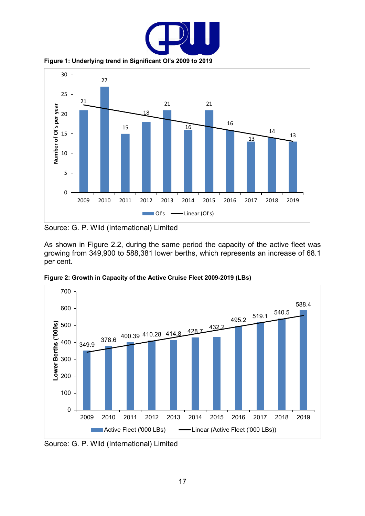

**Figure 1: Underlying trend in Significant OI's 2009 to 2019**

<span id="page-16-0"></span>

Source: G. P. Wild (International) Limited

As shown in Figure 2.2, during the same period the capacity of the active fleet was growing from 349,900 to 588,381 lower berths, which represents an increase of 68.1 per cent.



<span id="page-16-1"></span>**Figure 2: Growth in Capacity of the Active Cruise Fleet 2009-2019 (LBs)**

Source: G. P. Wild (International) Limited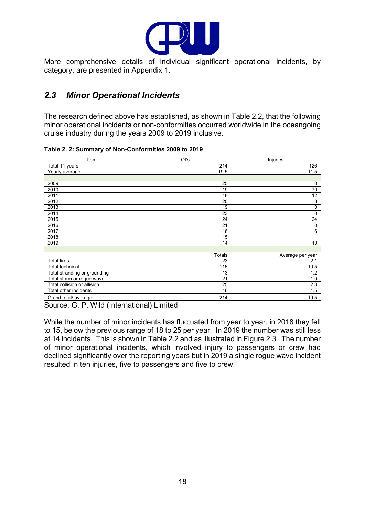

More comprehensive details of individual significant operational incidents, by category, are presented in Appendix 1.

## <span id="page-17-0"></span>*2.3 Minor Operational Incidents*

The research defined above has established, as shown in Table 2.2, that the following minor operational incidents or non-conformities occurred worldwide in the oceangoing cruise industry during the years 2009 to 2019 inclusive.

| Item                         | $O'$ s        | Injuries         |
|------------------------------|---------------|------------------|
| Total 11 years               | 214           | 126              |
| Yearly average               | 19.5          | 11.5             |
|                              |               |                  |
| 2009                         | 25            | $\mathbf 0$      |
| 2010                         | 19            | 70               |
| 2011                         | 18            | 12               |
| 2012                         | 20            | 3                |
| 2013                         | 19            | $\mathbf 0$      |
| 2014                         | 23            | $\mathbf 0$      |
| 2015                         | 24            | 24               |
| 2016                         | 21            | $\mathbf 0$      |
| 2017                         | 16            | $6\phantom{1}$   |
| 2018                         | 15            | 1                |
| 2019                         | 14            | 10               |
|                              |               |                  |
|                              | <b>Totals</b> | Average per year |
| <b>Total fires</b>           | 23            | 2.1              |
| <b>Total technical</b>       | 116           | 10.5             |
| Total stranding or grounding | 13            | 1.2              |
| Total storm or rogue wave    | 21            | 1.9              |
| Total collision or allision  | 25            | 2.3              |
| Total other incidents        | 16            | 1.5              |
| Grand total/average          | 214           | 19.5             |

<span id="page-17-1"></span>**Table 2. 2: Summary of Non-Conformities 2009 to 2019**

Source: G. P. Wild (International) Limited

While the number of minor incidents has fluctuated from year to year, in 2018 they fell to 15, below the previous range of 18 to 25 per year. In 2019 the number was still less at 14 incidents. This is shown in Table 2.2 and as illustrated in Figure 2.3. The number of minor operational incidents, which involved injury to passengers or crew had declined significantly over the reporting years but in 2019 a single rogue wave incident resulted in ten injuries, five to passengers and five to crew.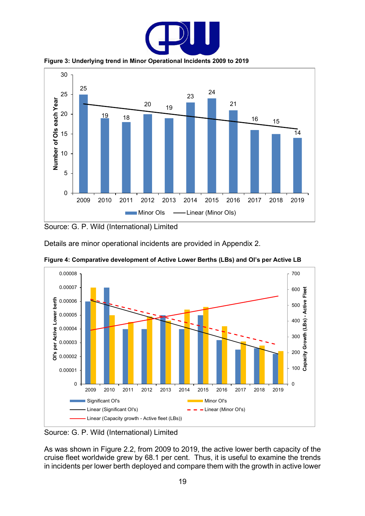

**Figure 3: Underlying trend in Minor Operational Incidents 2009 to 2019**

<span id="page-18-0"></span>

Source: G. P. Wild (International) Limited

Details are minor operational incidents are provided in Appendix 2.



<span id="page-18-1"></span>**Figure 4: Comparative development of Active Lower Berths (LBs) and OI's per Active LB**

Source: G. P. Wild (International) Limited

As was shown in Figure 2.2, from 2009 to 2019, the active lower berth capacity of the cruise fleet worldwide grew by 68.1 per cent. Thus, it is useful to examine the trends in incidents per lower berth deployed and compare them with the growth in active lower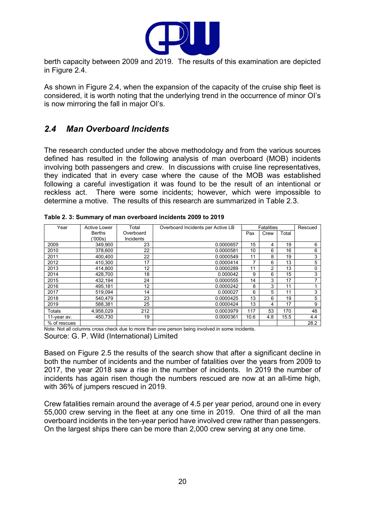

berth capacity between 2009 and 2019. The results of this examination are depicted in Figure 2.4.

As shown in Figure 2.4, when the expansion of the capacity of the cruise ship fleet is considered, it is worth noting that the underlying trend in the occurrence of minor OI's is now mirroring the fall in major OI's.

### <span id="page-19-0"></span>*2.4 Man Overboard Incidents*

The research conducted under the above methodology and from the various sources defined has resulted in the following analysis of man overboard (MOB) incidents involving both passengers and crew. In discussions with cruise line representatives, they indicated that in every case where the cause of the MOB was established following a careful investigation it was found to be the result of an intentional or reckless act. There were some incidents; however, which were impossible to determine a motive. The results of this research are summarized in Table 2.3.

| Year          | <b>Active Lower</b> | Total     | Overboard Incidents per Active LB |      | <b>Fatalities</b> |       | Rescued |
|---------------|---------------------|-----------|-----------------------------------|------|-------------------|-------|---------|
|               | <b>Berths</b>       | Overboard |                                   | Pax  | Crew              | Total |         |
|               | (000s)              | Incidents |                                   |      |                   |       |         |
| 2009          | 349.900             | 23        | 0.0000657                         | 15   | 4                 | 19    | 6       |
| 2010          | 378,600             | 22        | 0.0000581                         | 10   | 6                 | 16    | 6       |
| 2011          | 400.400             | 22        | 0.0000549                         | 11   | 8                 | 19    | 3       |
| 2012          | 410.300             | 17        | 0.0000414                         | 7    | 6                 | 13    | 5       |
| 2013          | 414.800             | 12        | 0.0000289                         | 11   | 2                 | 13    | 0       |
| 2014          | 428.700             | 18        | 0.000042                          | 9    | 6                 | 15    | 3       |
| 2015          | 432.194             | 24        | 0.0000555                         | 14   | 3                 | 17    | ⇁       |
| 2016          | 495.181             | 12        | 0.0000242                         | 8    | 3                 | 11    |         |
| 2017          | 519.094             | 14        | 0.000027                          | 6    | 5                 | 11    | 3       |
| 2018          | 540.479             | 23        | 0.0000425                         | 13   | 6                 | 19    | 5       |
| 2019          | 588.381             | 25        | 0.0000424                         | 13   | 4                 | 17    | 9       |
| <b>Totals</b> | 4,958,029           | 212       | 0.0003979                         | 117  | 53                | 170   | 48      |
| 11-year av.   | 450.730             | 19        | 0.0000361                         | 10.6 | 4.8               | 15.5  | 4.4     |
| % of rescues  |                     |           |                                   |      |                   |       | 28.2    |

<span id="page-19-1"></span>**Table 2. 3: Summary of man overboard incidents 2009 to 2019**

Note: Not all columns cross check due to more than one person being involved in some incidents. Source: G. P. Wild (International) Limited

Based on Figure 2.5 the results of the search show that after a significant decline in both the number of incidents and the number of fatalities over the years from 2009 to 2017, the year 2018 saw a rise in the number of incidents. In 2019 the number of incidents has again risen though the numbers rescued are now at an all-time high, with 36% of jumpers rescued in 2019.

Crew fatalities remain around the average of 4.5 per year period, around one in every 55,000 crew serving in the fleet at any one time in 2019. One third of all the man overboard incidents in the ten-year period have involved crew rather than passengers. On the largest ships there can be more than 2,000 crew serving at any one time.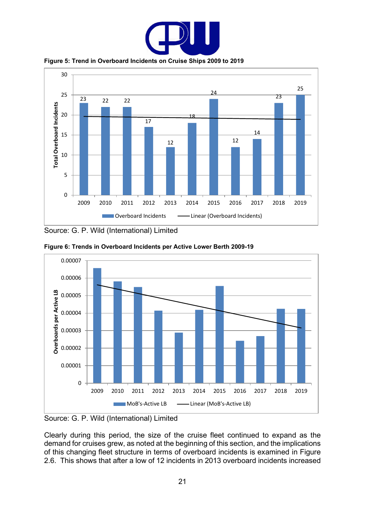

**Figure 5: Trend in Overboard Incidents on Cruise Ships 2009 to 2019**

<span id="page-20-0"></span>

Source: G. P. Wild (International) Limited



<span id="page-20-1"></span>**Figure 6: Trends in Overboard Incidents per Active Lower Berth 2009-19**

Source: G. P. Wild (International) Limited

Clearly during this period, the size of the cruise fleet continued to expand as the demand for cruises grew, as noted at the beginning of this section, and the implications of this changing fleet structure in terms of overboard incidents is examined in Figure 2.6. This shows that after a low of 12 incidents in 2013 overboard incidents increased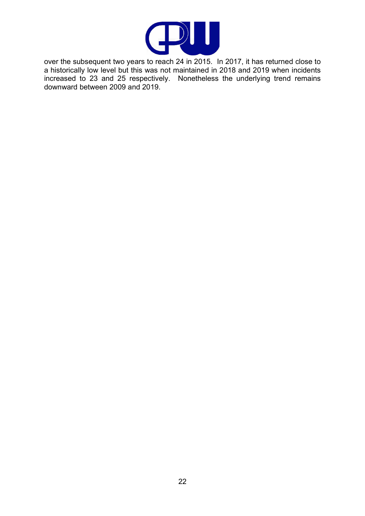

over the subsequent two years to reach 24 in 2015. In 2017, it has returned close to a historically low level but this was not maintained in 2018 and 2019 when incidents increased to 23 and 25 respectively. Nonetheless the underlying trend remains downward between 2009 and 2019.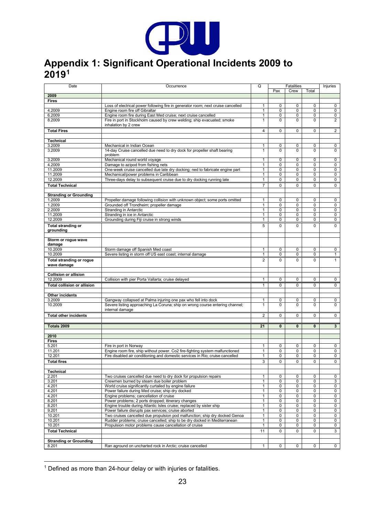

# <span id="page-22-0"></span>**Appendix 1: Significant Operational Incidents 2009 to 2019[1](#page-22-1)**

| Date                                           | Occurrence                                                                                                                          | Q                            |                  | <b>Fatalities</b> |                            | Injuries         |
|------------------------------------------------|-------------------------------------------------------------------------------------------------------------------------------------|------------------------------|------------------|-------------------|----------------------------|------------------|
|                                                |                                                                                                                                     |                              | Pax              | Crew              | Total                      |                  |
| 2009                                           |                                                                                                                                     |                              |                  |                   |                            |                  |
| <b>Fires</b>                                   | Loss of electrical power following fire in generator room; next cruise cancelled                                                    | 1                            | 0                | 0                 | $\mathbf 0$                | 0                |
| 4.2009                                         | Engine room fire off Gibraltar                                                                                                      | 1                            | 0                | 0                 | 0                          | 0                |
| 6.2009                                         | Engine room fire during East Med cruise; next cruise cancelled                                                                      | $\mathbf{1}$                 | 0                | 0                 | 0                          | 0                |
| 8.2009                                         | Fire in port in Stockholm caused by crew welding; ship evacuated; smoke<br>inhalation by 2 crew                                     | $\mathbf{1}$                 | $\Omega$         | $\Omega$          | $\mathbf 0$                | $\overline{2}$   |
| <b>Total Fires</b>                             |                                                                                                                                     | $\overline{4}$               | 0                | 0                 | $\mathbf 0$                | $\overline{2}$   |
| <b>Technical</b>                               |                                                                                                                                     |                              |                  |                   |                            |                  |
| 3.2009<br>3.2009                               | Mechanical in Indian Ocean<br>14-day Cruise cancelled due need to dry dock for propeller shaft bearing<br>problem                   | 1<br>$\mathbf{1}$            | 0<br>$\Omega$    | 0<br>$\Omega$     | 0<br>$\Omega$              | 0<br>0           |
| 3.2009                                         | Mechanical round world voyage                                                                                                       | 1                            | 0                | 0                 | $\mathbf 0$                | 0                |
| 4.2009                                         | Damage to azipod from fishing nets                                                                                                  | $\mathbf{1}$                 | 0                | 0                 | $\mathbf 0$                | 0                |
| 11.2009                                        | One-week cruise cancelled due late dry docking; ned to fabricate engine part                                                        | 1                            | 0                | 0                 | $\mathbf 0$                | 0                |
| 11.2009<br>12.2009                             | Mechanical/power problems in Caribbean                                                                                              | $\mathbf{1}$<br>$\mathbf{1}$ | 0<br>0           | 0<br>0            | $\mathbf 0$<br>$\mathbf 0$ | $\mathbf 0$<br>0 |
|                                                | Three-days delay to subsequent cruise due to dry docking running late                                                               | $\overline{7}$               |                  |                   |                            |                  |
| <b>Total Technical</b>                         |                                                                                                                                     |                              | 0                | 0                 | $\mathbf 0$                | $\mathbf{0}$     |
| <b>Stranding or Grounding</b>                  |                                                                                                                                     |                              |                  |                   |                            |                  |
| 1.2009<br>1.2009                               | Propeller damage following collision with unknown object; some ports omitted                                                        | $\mathbf{1}$<br>$\mathbf{1}$ | 0<br>0           | 0<br>0            | $\mathbf 0$<br>$\mathbf 0$ | 0<br>$\mathbf 0$ |
| 2.2009                                         | Grounded off Trondheim; propeller damage<br><b>Stranding in Antarctic</b>                                                           | $\mathbf{1}$                 | 0                | 0                 | $\mathbf 0$                | 0                |
| 11.2009                                        | Stranding in ice in Antarctic                                                                                                       | $\mathbf{1}$                 | 0                | 0                 | 0                          | 0                |
| 12.2009                                        | Grounding during Fiji cruise in strong winds                                                                                        | $\mathbf{1}$                 | 0                | 0                 | $\mathbf 0$                | $\mathsf{O}$     |
| <b>Total stranding or</b>                      |                                                                                                                                     | 5                            | 0                | 0                 | $\mathbf 0$                | $\mathbf 0$      |
| grounding                                      |                                                                                                                                     |                              |                  |                   |                            |                  |
| Storm or rogue wave                            |                                                                                                                                     |                              |                  |                   |                            |                  |
| damage<br>10.2009                              | Storm damage off Spanish Med coast                                                                                                  | 1                            | 0                | 0                 | 0                          | 0                |
| 10.2009                                        | Severe listing in storm off US east coast; internal damage                                                                          | $\mathbf{1}$                 | 0                | 0                 | $\mathbf 0$                | $\mathbf{1}$     |
| <b>Total stranding or rogue</b><br>wave damage |                                                                                                                                     | $\overline{2}$               | $\Omega$         | 0                 | $\Omega$                   | $\mathbf{1}$     |
| <b>Collision or allision</b>                   |                                                                                                                                     |                              |                  |                   |                            |                  |
| 12.2009                                        | Collision with pier Porta Vallarta; cruise delayed                                                                                  | $\mathbf{1}$                 | 0                | 0                 | 0                          | 0                |
| <b>Total collision or allision</b>             |                                                                                                                                     | $\mathbf{1}$                 | 0                | 0                 | $\mathbf 0$                | 0                |
| Other incidents                                |                                                                                                                                     |                              |                  |                   |                            |                  |
| 3.2009                                         | Gangway collapsed at Palma injuring one pax who fell into dock                                                                      | 1                            | 0                | 0                 | 0                          | 0                |
| 10.2009                                        | Severe listing approaching La Coruna; ship on wrong course entering channel;<br>internal damage                                     | $\mathbf{1}$                 | $\Omega$         | $\Omega$          | $\Omega$                   | 0                |
| <b>Total other incidents</b>                   |                                                                                                                                     | $\overline{2}$               | 0                | 0                 | 0                          | 0                |
| Totals 2009                                    |                                                                                                                                     | 21                           | $\mathbf{0}$     | 0                 | $\mathbf{0}$               | $3\phantom{.0}$  |
|                                                |                                                                                                                                     |                              |                  |                   |                            |                  |
| 2010<br><b>Fires</b>                           |                                                                                                                                     |                              |                  |                   |                            |                  |
| 5.201                                          | Fire in port in Norway                                                                                                              | 1                            | 0                | 0                 | 0                          | 0                |
| 11.201                                         | Engine room fire, ship without power. Co2 fire-fighting system malfunctioned                                                        | $\mathbf{1}$                 | 0                | 0                 | $\pmb{0}$                  | 0                |
| 12.201                                         | Fire disabled air conditioning and domestic services in Rio; cruise cancelled                                                       | $\mathbf{1}$                 | 0                | 0                 | 0                          | $\mathbf 0$      |
| <b>Total fires</b>                             |                                                                                                                                     | 3                            | 0                | $\mathbf 0$       | $\mathbf 0$                | $\mathbf 0$      |
| <b>Technical</b>                               |                                                                                                                                     |                              |                  |                   |                            |                  |
| 2.201                                          | Two cruises cancelled due need to dry dock for propulsion repairs                                                                   | $\mathbf{1}$                 | 0                | 0                 | 0                          | 0                |
| 3.201                                          | Crewmen burned by steam due boiler problem                                                                                          | $\mathbf{1}$                 | 0                | 0                 | 0                          | 3                |
| 4.201                                          | World cruise significantly curtailed by engine failure                                                                              | $\mathbf{1}$                 | 0                | 0                 | 0                          | 0                |
| 4.201<br>4.201                                 | Power failure during Med cruise; ship dry docked<br>Engine problems; cancellation of cruise                                         | $\mathbf{1}$<br>1            | 0<br>0           | 0<br>0            | 0<br>0                     | 0<br>0           |
| 8.201                                          | Power problems; 2 ports dropped; itinerary changes                                                                                  | 1                            | 0                | 0                 | 0                          | 0                |
| 8.201                                          | Engine trouble during Atlantic Isles cruise; replaced by sister ship                                                                | $\mathbf{1}$                 | 0                | 0                 | 0                          | 0                |
| 9.201                                          | Power failure disrupts pax services; cruise aborted                                                                                 | $\mathbf{1}$                 | 0                | 0                 | $\mathbf 0$                | $\mathsf{O}$     |
| 10.201                                         | Two cruises cancelled due propulsion pod malfunction; ship dry docked Genoa                                                         | 1                            | 0                | 0                 | 0                          | 0                |
| 10.201<br>10.201                               | Rudder problems; cruise cancelled; ship to be dry docked in Mediterranean<br>Propulsion motor problems cause cancellation of cruise | 1<br>$\mathbf{1}$            | 0<br>$\mathbf 0$ | 0<br>0            | 0<br>$\mathbf 0$           | 0<br>$\mathbf 0$ |
| <b>Total Technical</b>                         |                                                                                                                                     | 11                           | 0                | 0                 | 0                          | 3                |
|                                                |                                                                                                                                     |                              |                  |                   |                            |                  |
| <b>Stranding or Grounding</b><br>8.201         | Ran aground on uncharted rock in Arctic; cruise cancelled                                                                           | 1                            | 0                | 0                 | $\mathbf 0$                | $\mathbf 0$      |
|                                                |                                                                                                                                     |                              |                  |                   |                            |                  |

<span id="page-22-1"></span> $1$  Defined as more than 24-hour delay or with injuries or fatalities.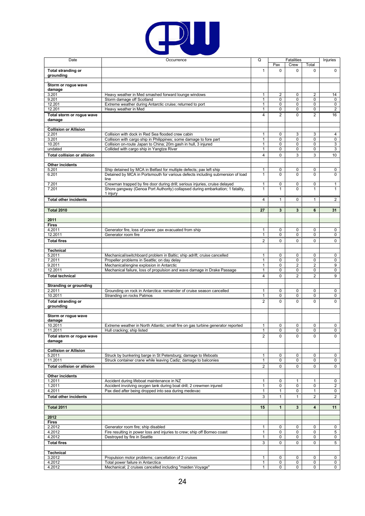

| Date                                          | Occurrence                                                                                                                                            | Q                              |                   | <b>Fatalities</b> |                  | Injuries            |
|-----------------------------------------------|-------------------------------------------------------------------------------------------------------------------------------------------------------|--------------------------------|-------------------|-------------------|------------------|---------------------|
|                                               |                                                                                                                                                       |                                | Pax               | Crew              | Total            |                     |
| <b>Total stranding or</b><br>grounding        |                                                                                                                                                       | $\mathbf{1}$                   | $\mathbf 0$       | 0                 | $\mathbf 0$      | $\mathbf 0$         |
|                                               |                                                                                                                                                       |                                |                   |                   |                  |                     |
| Storm or rogue wave                           |                                                                                                                                                       |                                |                   |                   |                  |                     |
| damage<br>3.201                               | Heavy weather in Med smashed forward lounge windows                                                                                                   | 1                              | 2                 | 0                 | $\overline{2}$   | 14                  |
| 9.201                                         | Storm damage off Scotland                                                                                                                             | $\mathbf{1}$                   | 0                 | 0                 | $\mathbf 0$      | 0                   |
| 12.201                                        | Extreme weather during Antarctic cruise; returned to port                                                                                             | 1                              | 0                 | 0                 | 0                | 0                   |
| 12.201                                        | Heavy weather in Med                                                                                                                                  | $\mathbf{1}$                   | 0                 | 0                 | 0                | 2                   |
| Total storm or rogue wave                     |                                                                                                                                                       | 4                              | $\overline{2}$    | 0                 | $\overline{2}$   | 16                  |
| damage                                        |                                                                                                                                                       |                                |                   |                   |                  |                     |
| <b>Collision or Allision</b>                  |                                                                                                                                                       |                                |                   |                   |                  |                     |
| 2.201                                         | Collision with dock in Red Sea flooded crew cabin                                                                                                     | $\mathbf{1}$                   | 0                 | 3                 | 3                | 4                   |
| 3.201<br>10.201                               | Collision with cargo ship in Philippines; some damage to fore part                                                                                    | 1                              | 0                 | 0<br>0            | 0<br>$\mathbf 0$ | 0                   |
| undated                                       | Collision on-route Japan to China; 20m gash in hull, 3 injured<br>Collided with cargo ship in Yangtze River                                           | $\mathbf{1}$<br>$\mathbf{1}$   | 0<br>0            | 0                 | 0                | 3<br>3              |
| <b>Total collision or allision</b>            |                                                                                                                                                       | 4                              | 0                 | 3                 | 3                | 10                  |
|                                               |                                                                                                                                                       |                                |                   |                   |                  |                     |
| Other incidents                               |                                                                                                                                                       |                                |                   |                   |                  |                     |
| 5.201<br>6.201                                | Ship detained by MCA in Belfast for multiple defects; pax left ship<br>Detained by MCA in Portsmouth for various defects including submersion of load | 1<br>$\mathbf{1}$              | 0<br>0            | 0<br>0            | 0<br>$\mathbf 0$ | 0<br>$\mathbf 0$    |
|                                               | line                                                                                                                                                  |                                |                   |                   |                  |                     |
| 7.201                                         | Crewman trapped by fire door during drill; serious injuries, cruise delayed                                                                           | $\mathbf{1}$                   | 0                 | 0                 | $\mathbf 0$      | $\mathbf{1}$        |
| 7.201                                         | Shore gangway (Genoa Port Authority) collapsed during embarkation; 1 fatality,                                                                        | 1                              | $\mathbf{1}$      | 0                 | $\mathbf{1}$     | 1                   |
| <b>Total other incidents</b>                  | 1 injury                                                                                                                                              | 4                              | 1                 | $\mathbf 0$       | $\mathbf{1}$     | 2                   |
|                                               |                                                                                                                                                       |                                |                   |                   |                  |                     |
| <b>Total 2010</b>                             |                                                                                                                                                       | 27                             | 3                 | 3                 | 6                | 31                  |
|                                               |                                                                                                                                                       |                                |                   |                   |                  |                     |
| 2011                                          |                                                                                                                                                       |                                |                   |                   |                  |                     |
| <b>Fires</b><br>4.2011                        | Generator fire, loss of power, pax evacuated from ship                                                                                                | $\mathbf{1}$                   | 0                 | 0                 | 0                | 0                   |
| 12.2011                                       | Generator room fire                                                                                                                                   | $\mathbf{1}$                   | 0                 | 0                 | 0                | $\mathbf 0$         |
| <b>Total fires</b>                            |                                                                                                                                                       | 2                              | 0                 | 0                 | 0                | $\mathbf 0$         |
|                                               |                                                                                                                                                       |                                |                   |                   |                  |                     |
| Technical                                     |                                                                                                                                                       |                                |                   |                   |                  |                     |
| 5.2011<br>7.2011                              | Mechanical/switchboard problem in Baltic; ship adrift; cruise cancelled<br>Propeller problems in Seattle; on day delay                                | 1<br>1                         | 0<br>0            | 0<br>0            | 0<br>0           | 0<br>0              |
| 9.2011                                        | Mechanical/engine explosion in Antarctic                                                                                                              | $\mathbf{1}$                   | 0                 | 2                 | $\overline{2}$   | 9                   |
| 12.2011                                       | Mechanical failure, loss of propulsion and wave damage in Drake Passage                                                                               | $\mathbf{1}$                   | 0                 | 0                 | 0                | 0                   |
| <b>Total technical</b>                        |                                                                                                                                                       | 4                              | 0                 | $\overline{2}$    | $\overline{2}$   | 9                   |
|                                               |                                                                                                                                                       |                                |                   |                   |                  |                     |
| <b>Stranding or grounding</b><br>2.2011       | Grounding on rock in Antarctica: remainder of cruise season cancelled                                                                                 | $\mathbf{1}$                   | 0                 | 0                 | 0                | 0                   |
| 10.2011                                       | Stranding on rocks Patmos                                                                                                                             | $\mathbf{1}$                   | 0                 | 0                 | 0                | 0                   |
| <b>Total stranding or</b>                     |                                                                                                                                                       | $\overline{2}$                 | $\Omega$          | 0                 | $\mathbf 0$      | $\Omega$            |
| grounding                                     |                                                                                                                                                       |                                |                   |                   |                  |                     |
| Storm or rogue wave                           |                                                                                                                                                       |                                |                   |                   |                  |                     |
| damage                                        |                                                                                                                                                       |                                |                   |                   |                  |                     |
| 10.2011                                       | Extreme weather in North Atlantic; small fire on gas turbine generator reported                                                                       | 1                              | 0                 | 0                 | 0                | 0                   |
| 11.2011                                       | Hull cracking; ship listed                                                                                                                            | $\mathbf{1}$                   | $\Omega$          | $\Omega$          | $\Omega$         | $\Omega$            |
| Total storm or rogue wave<br>damage           |                                                                                                                                                       | 2                              | 0                 | 0                 | 0                | $\mathbf 0$         |
|                                               |                                                                                                                                                       |                                |                   |                   |                  |                     |
| <b>Collision or Allision</b>                  |                                                                                                                                                       |                                |                   |                   |                  |                     |
| 5.2011                                        | Struck by bunkering barge in St Petersburg; damage to lifeboats                                                                                       | $\mathbf{1}$                   | 0                 | 0                 | 0                | 0                   |
| 11.2011<br><b>Total collision or allision</b> | Struck container crane while leaving Cadiz; damage to balconies                                                                                       | $\mathbf{1}$<br>$\overline{2}$ | 0<br>$\mathbf 0$  | 0<br>0            | 0<br>0           | 0<br>0              |
|                                               |                                                                                                                                                       |                                |                   |                   |                  |                     |
| Other incidents                               |                                                                                                                                                       |                                |                   |                   |                  |                     |
| 1.2011                                        | Accident during lifeboat maintenance in NZ                                                                                                            | $\mathbf{1}$                   | 0                 | 1                 | $\mathbf{1}$     | $\mathbf 0$         |
| 1.2011<br>4.2011                              | Accident involving oxygen tank during boat drill; 2 crewmen injured<br>Pax died after being dropped into sea during medevac                           | 1<br>1                         | 0<br>$\mathbf{1}$ | 0<br>0            | 0<br>1           | $\overline{c}$<br>0 |
| <b>Total other incidents</b>                  |                                                                                                                                                       | 3                              | 1                 | 1                 | $\overline{2}$   | $\overline{2}$      |
|                                               |                                                                                                                                                       |                                |                   |                   |                  |                     |
| <b>Total 2011</b>                             |                                                                                                                                                       | 15                             | $\mathbf{1}$      | 3                 | 4                | 11                  |
|                                               |                                                                                                                                                       |                                |                   |                   |                  |                     |
| 2012                                          |                                                                                                                                                       |                                |                   |                   |                  |                     |
| <b>Fires</b><br>2.2012                        | Generator room fire; ship disabled                                                                                                                    | 1                              | 0                 | 0                 | 0                | 0                   |
| 4.2012                                        | Fire resulting in power loss and injuries to crew; ship off Borneo coast                                                                              | 1                              | 0                 | 0                 | 0                | 5                   |
| 4.2012                                        | Destroyed by fire in Seattle                                                                                                                          | $\mathbf{1}$                   | $\mathbf 0$       | 0                 | 0                | $\mathbf 0$         |
| <b>Total fires</b>                            |                                                                                                                                                       | 3                              | 0                 | 0                 | 0                | 5                   |
| <b>Technical</b>                              |                                                                                                                                                       |                                |                   |                   |                  |                     |
| 3.2012                                        | Propulsion motor problems; cancellation of 2 cruises                                                                                                  | 1                              | 0                 | 0                 | 0                | 0                   |
| 4.2012                                        | Total power failure in Antarctica                                                                                                                     | $\mathbf{1}$                   | 0                 | 0                 | 0                | 0                   |
| 4.2012                                        | Mechanical; 2 cruises cancelled including "maiden Voyage"                                                                                             | $\mathbf{1}$                   | $\mathbf 0$       | 0                 | $\mathbf 0$      | $\overline{0}$      |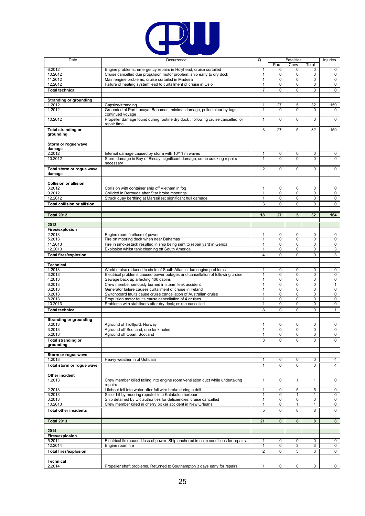

| Date                                   | Occurrence                                                                                                              | Q                 |              | Fatalities        |                   | Injuries     |
|----------------------------------------|-------------------------------------------------------------------------------------------------------------------------|-------------------|--------------|-------------------|-------------------|--------------|
|                                        |                                                                                                                         |                   | Pax          | Crew              | Total             |              |
| 6.2012                                 | Engine problems; emergency repairs in Holyhead; cruise curtailed                                                        | $\mathbf{1}$      | 0            | $\mathbf 0$       | 0                 | 0            |
| 10.2012                                | Cruise cancelled due propulsion motor problem; ship early to dry dock                                                   | 1                 | 0            | 0                 | $\pmb{0}$         | 0            |
| 11.2012                                | Main engine problems; cruise curtailed in Madeira                                                                       | 1                 | 0            | 0                 | 0                 | 0            |
| 12.2012                                | Failure of heating system lead to curtailment of cruise in Oslo                                                         | 1                 | 0            | 0                 | $\mathbf 0$       | 0            |
| <b>Total technical</b>                 |                                                                                                                         | $\overline{7}$    | 0            | $\Omega$          | 0                 | $\mathbf 0$  |
| <b>Stranding or grounding</b>          |                                                                                                                         |                   |              |                   |                   |              |
| 1.2012                                 | Capsize/stranding                                                                                                       | 1                 | 27           | 5                 | 32                | 159          |
| 1.2012                                 | Grounded at Port Lucaya, Bahamas; minimal damage, pulled clear by tugs;                                                 | $\mathbf{1}$      | $\Omega$     | $\Omega$          | 0                 | 0            |
|                                        | continued voyage                                                                                                        |                   |              |                   |                   |              |
| 10.2012                                | Propeller damage found during routine dry dock; following cruise cancelled for                                          | $\mathbf{1}$      | $\mathbf 0$  | $\mathbf 0$       | $\mathbf 0$       | $\mathbf 0$  |
|                                        | repair time                                                                                                             |                   |              |                   |                   |              |
| <b>Total stranding or</b>              |                                                                                                                         | 3                 | 27           | 5                 | 32                | 159          |
| grounding                              |                                                                                                                         |                   |              |                   |                   |              |
|                                        |                                                                                                                         |                   |              |                   |                   |              |
| Storm or rogue wave<br>damage          |                                                                                                                         |                   |              |                   |                   |              |
| 2.2012                                 | Internal damage caused by storm with 10/11 m waves                                                                      | 1                 | 0            | 0                 | 0                 | 0            |
| 10.2012                                | Storm damage in Bay of Biscay; significant damage; some cracking repairs                                                | 1                 | 0            | $\Omega$          | $\Omega$          | 0            |
|                                        | necessary                                                                                                               |                   |              |                   |                   |              |
| Total storm or rogue wave              |                                                                                                                         | $\overline{2}$    | 0            | 0                 | 0                 | $\mathbf 0$  |
| damage                                 |                                                                                                                         |                   |              |                   |                   |              |
|                                        |                                                                                                                         |                   |              |                   |                   |              |
| <b>Collision or allision</b>           |                                                                                                                         |                   |              |                   |                   |              |
| 3.2012<br>9.2012                       | Collision with container ship off Vietnam in fog<br>Collided in Bermuda after Star broke moorings                       | $\mathbf{1}$<br>1 | 0<br>0       | $\mathbf 0$<br>0  | 0<br>$\mathbf 0$  | 0<br>0       |
| 12.2012                                | Struck quay berthing at Marseilles; significant hull damage                                                             | $\mathbf{1}$      | 0            | $\mathbf 0$       | $\mathbf 0$       | 0            |
| <b>Total collision or allision</b>     |                                                                                                                         | 3                 | 0            | $\mathbf 0$       | $\mathbf 0$       | 0            |
|                                        |                                                                                                                         |                   |              |                   |                   |              |
| <b>Total 2012</b>                      |                                                                                                                         | 18                | 27           | 5                 | 32                | 164          |
|                                        |                                                                                                                         |                   |              |                   |                   |              |
| 2013                                   |                                                                                                                         |                   |              |                   |                   |              |
| Fires/explosion                        |                                                                                                                         |                   |              |                   |                   |              |
| 2.2013                                 | Engine room fire/loss of power                                                                                          | 1                 | 0            | $\mathbf 0$       | 0                 | 0            |
| 5.2013                                 | Fire on mooring deck when near Bahamas                                                                                  | 1                 | 0            | 0                 | 0                 | 0            |
| 11.2013                                | Fire in smokestack resulted in ship being sent to repair yard in Genoa                                                  | $\mathbf{1}$      | 0            | 0                 | 0                 | 0            |
| 12.2013                                | Explosion whilst tank cleaning off South America                                                                        | $\mathbf{1}$      | 0            | $\mathbf 0$       | $\mathbf 0$       | 3            |
| <b>Total fires/explosion</b>           |                                                                                                                         | 4                 | 0            | $\mathbf 0$       | $\mathbf 0$       | 3            |
|                                        |                                                                                                                         |                   |              |                   |                   |              |
| <b>Technical</b><br>1.2013             | World cruise reduced to circle of South Atlantic due engine problems                                                    | 1                 | 0            | $\mathbf 0$       | 0                 | 0            |
| 3.2013                                 | Electrical problems caused power outages and cancellation of following cruise                                           | 1                 | 0            | 0                 | 0                 | 0            |
| 4.2013                                 | Sewage back up affecting 400 cabins                                                                                     | 1                 | 0            | $\mathbf 0$       | $\mathbf 0$       | 0            |
| 6.2013                                 | Crew member seriously burned in steam leak accident                                                                     | $\mathbf{1}$      | 0            | 0                 | 0                 | $\mathbf{1}$ |
| 6.2013                                 | Generator failure causes curtailment of cruise in Ireland                                                               | 1                 | 0            | 0                 | 0                 | 0            |
|                                        |                                                                                                                         |                   |              |                   |                   | $\mathbf 0$  |
| 8.2013                                 | Switchboard faults cause cruise cancellation of Australian cruise                                                       | $\mathbf{1}$      | 0            | 0                 | $\mathbf 0$       |              |
| 8.2013                                 | Propulsion motor faults cause cancellation of 4 cruises                                                                 | 1                 | 0            | 0                 | 0                 | 0            |
| 10.2013                                | Problems with stabilisers after dry dock; cruise cancelled                                                              | 1                 | 0            | $\mathbf 0$       | 0                 | 0            |
| <b>Total technical</b>                 |                                                                                                                         | 8                 | 0            | $\mathbf 0$       | $\mathbf 0$       | $\mathbf{1}$ |
|                                        |                                                                                                                         |                   |              |                   |                   |              |
| <b>Stranding or grounding</b>          |                                                                                                                         |                   |              |                   |                   |              |
| 3.2013                                 | Aground of Trollfjord, Norway                                                                                           | 1                 | 0            | 0                 | 0                 | 0            |
| 3.2013                                 | Aground off Scotland; one tank holed                                                                                    | 1<br>$\mathbf{1}$ | 0<br>0       | 0<br>0            | 0<br>0            | 0<br>0       |
| 5.2013                                 | Aground off Oban, Scotland                                                                                              |                   |              |                   |                   |              |
| <b>Total stranding or</b><br>grounding |                                                                                                                         | 3                 | $\Omega$     | $\Omega$          | $\Omega$          | $\Omega$     |
|                                        |                                                                                                                         |                   |              |                   |                   |              |
| Storm or rogue wave                    |                                                                                                                         |                   |              |                   |                   |              |
| 1.2013                                 | Heavy weather in of Ushuaia                                                                                             | $\mathbf{1}$      | 0            | 0                 | 0                 | 4            |
| Total storm or rogue wave              |                                                                                                                         | $\mathbf{1}$      | 0            | 0                 | 0                 | 4            |
|                                        |                                                                                                                         |                   |              |                   |                   |              |
| Other incident                         |                                                                                                                         |                   |              |                   |                   |              |
| 1.2013                                 | Crew member killed falling into engine room ventilation duct while undertaking                                          | $\mathbf{1}$      | $\Omega$     | 1                 | $\mathbf{1}$      | $\mathbf 0$  |
|                                        | repairs                                                                                                                 |                   |              |                   |                   |              |
| 2.2013<br>3.2013                       | Lifeboat fell into water after fall wire broke during a drill<br>Sailor hit by mooring rope/fell into Katakolon harbour | $\mathbf{1}$<br>1 | 0<br>0       | 5<br>$\mathbf{1}$ | 5<br>$\mathbf{1}$ | 0<br>0       |
| 3.2013                                 | Ship detained by UK authorities for deficiencies; cruise cancelled                                                      | 1                 | 0            | $\mathbf 0$       | 0                 | 0            |
| 10.2013                                | Crew member killed in cherry picker accident in New Orleans                                                             | 1                 | 0            | $\mathbf{1}$      | 1                 | 0            |
| <b>Total other incidents</b>           |                                                                                                                         | 5                 | 0            | 8                 | 8                 | 0            |
|                                        |                                                                                                                         |                   |              |                   |                   |              |
| <b>Total 2013</b>                      |                                                                                                                         | 21                | $\mathbf{0}$ | 8                 | 8                 | 8            |
|                                        |                                                                                                                         |                   |              |                   |                   |              |
| 2014                                   |                                                                                                                         |                   |              |                   |                   |              |
| Fires/explosion                        |                                                                                                                         |                   |              |                   |                   |              |
| 5.2014                                 | Electrical fire caused loss of power. Ship anchored in calm conditions for repairs.                                     | $\mathbf{1}$      | 0            | $\mathbf 0$       | 0                 | $\mathbf 0$  |
| 12.2014                                | Engine room fire                                                                                                        | 1                 | 0            | 3                 | 3                 | 0            |
| <b>Total fires/explosion</b>           |                                                                                                                         | $\overline{2}$    | 0            | 3                 | 3                 | 0            |
|                                        |                                                                                                                         |                   |              |                   |                   |              |
| Technical<br>2.2014                    | Propeller shaft problems. Returned to Southampton 3 days early for repairs                                              | $\mathbf{1}$      | 0            | 0                 | 0                 | $\mathbf 0$  |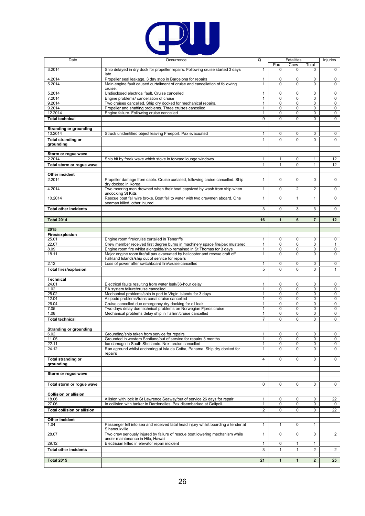

| Date                               | Occurrence                                                                                                               | Q                            |                | <b>Fatalities</b> |                | Injuries        |
|------------------------------------|--------------------------------------------------------------------------------------------------------------------------|------------------------------|----------------|-------------------|----------------|-----------------|
|                                    |                                                                                                                          |                              | Pax            | Crew              | Total          |                 |
| 3.2014                             | Ship delayed in dry dock for propeller repairs. Following cruise started 3 days                                          | $\mathbf{1}$                 | $\Omega$       | $\Omega$          | $\Omega$       | $\mathbf 0$     |
|                                    | late                                                                                                                     |                              |                |                   |                |                 |
| 4.2014                             | Propeller seal leakage. 3 day stop in Barcelona for repairs                                                              | $\mathbf{1}$                 | 0              | 0                 | 0              | 0               |
| 5.2014                             | Main engine fault caused curtailment of cruise and cancellation of following                                             | 1                            | $\Omega$       | $\Omega$          | $\Omega$       | 0               |
| 5.2014                             | cruise.<br>Undisclosed electrical fault. Cruise cancelled                                                                | 1                            | 0              | 0                 | 0              | 0               |
| 7.2014                             | Engine problems/ cancellation of cruise                                                                                  | $\mathbf{1}$                 | 0              | 0                 | $\mathbf 0$    | 0               |
| 9.2014                             | Two cruises cancelled. Ship dry docked for mechanical repairs.                                                           | $\mathbf{1}$                 | 0              | 0                 | 0              | 0               |
| 9.2014                             | Propeller and shafting problems. Three cruises cancelled.                                                                | $\mathbf{1}$                 | 0              | 0                 | 0              | 0               |
| 12.2014                            | Engine failure. Following cruise cancelled                                                                               | 1                            | 0              | 0                 | 0              | 0               |
| <b>Total technical</b>             |                                                                                                                          | 9                            | $\Omega$       | 0                 | 0              | 0               |
|                                    |                                                                                                                          |                              |                |                   |                |                 |
| <b>Stranding or grounding</b>      |                                                                                                                          |                              |                |                   |                |                 |
| 10.2014                            | Struck unidentified object leaving Freeport. Pax evacuated                                                               | $\mathbf{1}$                 | 0              | 0                 | 0              | 0               |
| <b>Total stranding or</b>          |                                                                                                                          | $\mathbf{1}$                 | $\Omega$       | $\Omega$          | $\Omega$       | $\mathbf 0$     |
| grounding                          |                                                                                                                          |                              |                |                   |                |                 |
|                                    |                                                                                                                          |                              |                |                   |                |                 |
| Storm or rogue wave<br>2.2014      | Ship hit by freak wave which stove in forward lounge windows                                                             | $\mathbf{1}$                 | 1              | 0                 | 1              | 12              |
|                                    |                                                                                                                          | $\mathbf{1}$                 | $\mathbf{1}$   | 0                 | $\mathbf{1}$   | 12 <sup>°</sup> |
| Total storm or rogue wave          |                                                                                                                          |                              |                |                   |                |                 |
| Other incident                     |                                                                                                                          |                              |                |                   |                |                 |
| 2.2014                             | Propeller damage from cable. Cruise curtailed, following cruise cancelled. Ship                                          | $\mathbf{1}$                 | 0              | $\mathbf 0$       | $\mathbf 0$    | $\mathbf 0$     |
|                                    | dry docked in Korea                                                                                                      |                              |                |                   |                |                 |
| 4.2014                             | Two mooring men drowned when their boat capsized by wash from ship when                                                  | $\mathbf{1}$                 | $\overline{0}$ | $\overline{2}$    | $\overline{2}$ | $\mathbf 0$     |
|                                    | undocking St Kitts                                                                                                       |                              |                |                   |                |                 |
| 10.2014                            | Rescue boat fall wire broke. Boat fell to water with two crewmen aboard. One                                             | $\mathbf{1}$                 | 0              | $\mathbf{1}$      | 1              | $\mathbf 0$     |
|                                    | seaman killed, other injured.                                                                                            |                              |                |                   |                |                 |
| <b>Total other incidents</b>       |                                                                                                                          | 3                            | $\Omega$       | 3                 | 3              | 0               |
|                                    |                                                                                                                          |                              |                |                   |                |                 |
| <b>Total 2014</b>                  |                                                                                                                          | 16                           | $\mathbf{1}$   | 6                 | $\overline{7}$ | 12 <sub>2</sub> |
| 2015                               |                                                                                                                          |                              |                |                   |                |                 |
| Fires/explosion                    |                                                                                                                          |                              |                |                   |                |                 |
| 25.01                              | Engine room fire/cruise curtailed in Teneriffe                                                                           | $\mathbf{1}$                 | 0              | 0                 | 0              | 0               |
| 22.07                              | Crew member received first degree burns in machinery space fire/pax mustered                                             | $\mathbf{1}$                 | 0              | 0                 | 0              | 1               |
| 8.09                               | Engine room fire whilst alongside/ship remained in St Thomas for 3 days                                                  | 1                            | 0              | 0                 | 0              | 0               |
| 18.11                              | Major engine room fire/all pax evacuated by helicopter and rescue craft off                                              | $\mathbf{1}$                 | $\Omega$       | $\Omega$          | $\Omega$       | $\mathbf 0$     |
|                                    | Falkland Islands/ship out of service for repairs                                                                         |                              |                |                   |                |                 |
| 2.12                               | Loss of power after switchboard fire/cruise cancelled                                                                    | $\mathbf{1}$                 | 0              | $\mathbf 0$       | $\mathbf 0$    | $\mathbf 0$     |
| <b>Total fires/explosion</b>       |                                                                                                                          | 5                            | 0              | $\mathbf 0$       | 0              | $\mathbf{1}$    |
|                                    |                                                                                                                          |                              |                |                   |                |                 |
| <b>Technical</b><br>24.01          |                                                                                                                          |                              | 0              | 0                 | 0              |                 |
| 1.02                               | Electrical faults resulting from water leak/36-hour delay<br>PA system failure/cruise cancelled                          | $\mathbf{1}$<br>$\mathbf{1}$ | 0              | $\mathbf 0$       | $\mathbf 0$    | 0<br>0          |
| 25.02                              | Mechanical problems/ship in port in Virgin Islands for 3 days                                                            | 1                            | 0              | 0                 | 0              | 0               |
| 12.04                              | Azipodd problems/trans canal cruise cancelled                                                                            | 1                            | 0              | 0                 | 0              | 0               |
| 26.04                              | Cruise cancelled due emergency dry docking for oil leak                                                                  | $\mathbf{1}$                 | 0              | $\mathbf 0$       | 0              | 0               |
| 7.05                               | Two days delay due technical problems on Norwegian Fjords cruise                                                         | $\mathbf{1}$                 | 0              | 0                 | 0              | 0               |
| 1.08                               | Mechanical problems delay ship in Tallinn/cruise cancelled                                                               | 1                            | 0              | 0                 | 0              | 0               |
| <b>Total technical</b>             |                                                                                                                          | $\overline{7}$               | 0              | 0                 | 0              | 0               |
|                                    |                                                                                                                          |                              |                |                   |                |                 |
| <b>Stranding or grounding</b>      |                                                                                                                          |                              |                |                   |                |                 |
| 6.02                               | Grounding/ship taken from service for repairs                                                                            | $\mathbf{1}$                 | 0              | $\mathbf 0$       | $\mathbf 0$    | 0               |
| 11.05                              | Grounded in western Scotland/out of service for repairs 3 months<br>Ice damage in South Shetlands. Next cruise cancelled | $\mathbf{1}$                 | 0              | 0<br>0            | 0              | 0               |
| 22.11<br>24.12                     | Ran aground whilst anchoring at Isla da Coiba, Panama. Ship dry docked for                                               | $\mathbf{1}$<br>1            | 0<br>0         | 0                 | 0<br>0         | 0<br>0          |
|                                    | repairs                                                                                                                  |                              |                |                   |                |                 |
| <b>Total stranding or</b>          |                                                                                                                          | 4                            | 0              | $\mathbf 0$       | $\mathbf 0$    | $\mathbf 0$     |
| grounding                          |                                                                                                                          |                              |                |                   |                |                 |
|                                    |                                                                                                                          |                              |                |                   |                |                 |
| Storm or rogue wave                |                                                                                                                          |                              |                |                   |                |                 |
|                                    |                                                                                                                          |                              |                |                   |                |                 |
| Total storm or rogue wave          |                                                                                                                          | $\mathbf 0$                  | 0              | 0                 | 0              | 0               |
|                                    |                                                                                                                          |                              |                |                   |                |                 |
| <b>Collision or allision</b>       |                                                                                                                          |                              |                |                   |                |                 |
| 18.06                              | Allision with lock in St Lawrence Seaway/out of service 26 days for repair                                               | $\mathbf{1}$                 | 0              | $\mathbf 0$       | 0              | 22              |
| 27.06                              | In collision with tanker in Dardenelles. Pax disembarked at Galipoli.                                                    | 1                            | 0              | 0                 | 0              | $\mathbf{0}$    |
| <b>Total collision or allision</b> |                                                                                                                          | $\overline{2}$               | 0              | 0                 | 0              | 22              |
|                                    |                                                                                                                          |                              |                |                   |                |                 |
| Other incident<br>1.04             | Passenger fell into sea and received fatal head injury whilst boarding a tender at                                       | $\mathbf{1}$                 | $\mathbf{1}$   | $\mathbf 0$       | 1              |                 |
|                                    | Sihanoukville                                                                                                            |                              |                |                   |                |                 |
| 28.07                              | Two crew seriously injured by failure of rescue boat lowering mechanism while                                            | $\mathbf{1}$                 | 0              | 0                 | $\overline{0}$ | $\overline{2}$  |
|                                    | under maintenance in Hilo, Hawaii                                                                                        |                              |                |                   |                |                 |
| 29.12                              | Electrician killed in elevator repair incident                                                                           | 1                            | 0              | 1                 | 1              |                 |
| <b>Total other incidents</b>       |                                                                                                                          | 3                            | $\mathbf{1}$   | $\mathbf{1}$      | 2              | $\overline{2}$  |
|                                    |                                                                                                                          |                              |                |                   |                |                 |
| <b>Total 2015</b>                  |                                                                                                                          | 21                           | $\mathbf{1}$   | 1                 | $\overline{2}$ | 25              |
|                                    |                                                                                                                          |                              |                |                   |                |                 |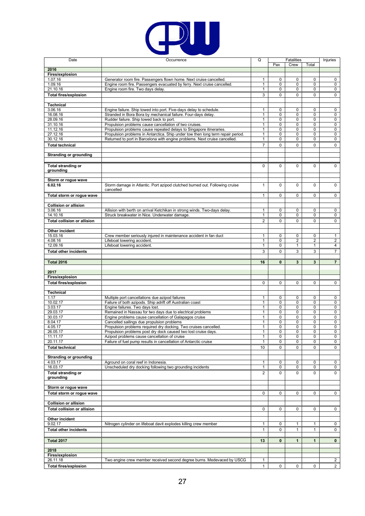

| Date                               | Occurrence                                                                                                                                             | Q                 |                            | <b>Fatalities</b> |                  | Injuries       |
|------------------------------------|--------------------------------------------------------------------------------------------------------------------------------------------------------|-------------------|----------------------------|-------------------|------------------|----------------|
|                                    |                                                                                                                                                        |                   | Pax                        | Crew              | Total            |                |
| 2016                               |                                                                                                                                                        |                   |                            |                   |                  |                |
| Fires/explosion<br>1.07.16         | Generator room fire. Passengers flown home. Next cruise cancelled                                                                                      | 1                 | $\mathbf 0$                | 0                 | 0                | 0              |
| 1.09.16                            | Engine room fire. Passengers evacuated by ferry. Next cruise cancelled.                                                                                | 1                 | $\mathbf 0$                | $\mathbf 0$       | 0                | $\mathbf 0$    |
| 21.10.16                           | Engine room fire. Two days delay                                                                                                                       | 1                 | $\mathbf 0$                | 0                 | 0                | 0              |
| <b>Total fires/explosion</b>       |                                                                                                                                                        | 3                 | $\mathbf 0$                | 0                 | $\mathbf 0$      | $\mathbf 0$    |
|                                    |                                                                                                                                                        |                   |                            |                   |                  |                |
| <b>Technical</b>                   |                                                                                                                                                        |                   |                            |                   |                  |                |
| 3.06.16                            | Engine failure. Ship towed into port. Five-days delay to schedule.                                                                                     | 1                 | $\mathbf 0$                | $\mathbf 0$       | $\mathbf 0$      | 0              |
| 16.08.16                           | Stranded in Bora Bora by mechanical failure. Four-days delay.                                                                                          | 1                 | 0                          | 0                 | 0                | 0              |
| 28.09.16                           | Rudder failure. Ship towed back to port.                                                                                                               | 1                 | $\mathbf 0$                | 0                 | 0                | 0              |
| 31.10.16<br>11.12.16               | Propulsion problems cause cancellation of two cruises.                                                                                                 | $\mathbf{1}$      | $\mathbf 0$<br>$\mathbf 0$ | $\mathbf 0$<br>0  | $\mathbf 0$<br>0 | $\mathbf 0$    |
| 27.12.16                           | Propulsion problems cause repeated delays to Singapore itineraries.<br>Propulsion problems in Antarctica. Ship under tow then long term repair period. | 1<br>1            | 0                          | 0                 | 0                | 0<br>0         |
| 30.12.16                           | Returned to port in Barcelona with engine problems. Next cruise cancelled.                                                                             | $\mathbf{1}$      | $\mathbf 0$                | 0                 | 0                | 0              |
| <b>Total technical</b>             |                                                                                                                                                        | $\overline{7}$    | $\mathbf 0$                | 0                 | 0                | 0              |
|                                    |                                                                                                                                                        |                   |                            |                   |                  |                |
| <b>Stranding or grounding</b>      |                                                                                                                                                        |                   |                            |                   |                  |                |
|                                    |                                                                                                                                                        |                   |                            |                   |                  |                |
| <b>Total stranding or</b>          |                                                                                                                                                        | $\Omega$          | $\Omega$                   | 0                 | $\mathbf 0$      | $\Omega$       |
| grounding                          |                                                                                                                                                        |                   |                            |                   |                  |                |
|                                    |                                                                                                                                                        |                   |                            |                   |                  |                |
| Storm or rogue wave                |                                                                                                                                                        |                   |                            |                   |                  |                |
| 6.02.16                            | Storm damage in Atlantic. Port azipod clutched burned out. Following cruise<br>cancelled                                                               | $\mathbf{1}$      | $\mathbf 0$                | $\mathbf 0$       | 0                | $\mathbf 0$    |
|                                    |                                                                                                                                                        |                   |                            |                   |                  |                |
| Total storm or rogue wave          |                                                                                                                                                        | $\mathbf{1}$      | $\Omega$                   | 0                 | 0                | $\mathbf{0}$   |
| <b>Collision or allision</b>       |                                                                                                                                                        |                   |                            |                   |                  |                |
| 3.06.16                            | Allision with berth on arrival Ketchikan in strong winds. Two-days delay.                                                                              | $\mathbf{1}$      | $\mathbf 0$                | $\mathbf 0$       | 0                | $\mathbf 0$    |
| 14.10.16                           | Struck breakwater in Nice. Underwater damage.                                                                                                          | 1                 | $\mathbf 0$                | 0                 | $\mathbf 0$      | 0              |
| <b>Total collision or allision</b> |                                                                                                                                                        | $\overline{2}$    | $\Omega$                   | $\mathbf 0$       | 0                | 0              |
|                                    |                                                                                                                                                        |                   |                            |                   |                  |                |
| Other incident                     |                                                                                                                                                        |                   |                            |                   |                  |                |
| 15.03.16                           | Crew member seriously injured in maintenance accident in fan duct                                                                                      | $\mathbf{1}$      | $\mathbf 0$                | $\mathbf 0$       | $\mathbf 0$      | $\mathbf{1}$   |
| 4.08.16                            | Lifeboat lowering accident.                                                                                                                            | 1                 | 0                          | 2                 | 2                | $\overline{2}$ |
| 12.09.16                           | Lifeboat lowering accident.                                                                                                                            | 1                 | $\mathbf 0$                | $\mathbf{1}$      | 1                | 4              |
| <b>Total other incidents</b>       |                                                                                                                                                        | 3                 | $\mathbf 0$                | 3                 | 3                | $\overline{7}$ |
|                                    |                                                                                                                                                        |                   |                            |                   |                  |                |
| <b>Total 2016</b>                  |                                                                                                                                                        | 16                | $\mathbf{0}$               | 3                 | 3                | $\overline{7}$ |
|                                    |                                                                                                                                                        |                   |                            |                   |                  |                |
| 2017<br>Fires/explosion            |                                                                                                                                                        |                   |                            |                   |                  |                |
|                                    |                                                                                                                                                        |                   |                            |                   |                  |                |
| <b>Total fires/explosion</b>       |                                                                                                                                                        | $\mathbf 0$       | 0                          | 0                 | 0                | 0              |
| <b>Technical</b>                   |                                                                                                                                                        |                   |                            |                   |                  |                |
| 1.17                               | Multiple port cancellations due azipod failures                                                                                                        | 1                 | 0                          | 0                 | 0                | 0              |
| 10.02.17                           | Failure of both azipods. Ship adrift off Australian coast                                                                                              | 1                 | 0                          | 0                 | 0                | 0              |
| 3.03.17                            | Engine failures. Two days lost.                                                                                                                        | $\mathbf{1}$      | $\mathbf 0$                | 0                 | 0                | 0              |
| 29.03.17                           | Remained in Nassau for two days due to electrical problems                                                                                             | $\mathbf{1}$      | 0                          | $\mathbf 0$       | 0                | $\mathbf 0$    |
| 30.03.17                           | Engine problems cause cancellation of Galapagos cruise                                                                                                 | 1                 | 0                          | 0                 | 0                | 0              |
| 8.04.17                            | Cancelled sailings due propulsion problems                                                                                                             | $\mathbf{1}$      | $\mathbf 0$                | 0                 | 0                | 0              |
| 4.05.17                            | Propulsion problems required dry docking. Two cruises cancelled.                                                                                       | $\mathbf{1}$      | $\mathbf 0$                | $\mathbf 0$       | 0                | $\overline{0}$ |
| 26.05.17<br>11.11.17               | Propulsion problems post dry dock caused two lost cruise days.<br>Azipod problems cause cancellation of cruise                                         | 1<br>$\mathbf{1}$ | U<br>$\mathbf 0$           | U<br>0            | U<br>0           | 0<br>0         |
| 20.11.17                           | Failure of fuel pump results in cancellation of Antarctic cruise                                                                                       | $\mathbf{1}$      | 0                          | 0                 | 0                | $\mathbf{0}$   |
| <b>Total technical</b>             |                                                                                                                                                        | 10                | 0                          | 0                 | 0                | 0              |
|                                    |                                                                                                                                                        |                   |                            |                   |                  |                |
| <b>Stranding or grounding</b>      |                                                                                                                                                        |                   |                            |                   |                  |                |
| 4.03.17                            | Aground on coral reef in Indonesia.                                                                                                                    | 1                 | 0                          | $\mathbf 0$       | 0                | 0              |
| 16.03.17                           | Unscheduled dry docking following two grounding incidents                                                                                              | 1                 | 0                          | 0                 | 0                | 0              |
| <b>Total stranding or</b>          |                                                                                                                                                        | $\overline{c}$    | 0                          | $\mathbf 0$       | 0                | 0              |
| grounding                          |                                                                                                                                                        |                   |                            |                   |                  |                |
|                                    |                                                                                                                                                        |                   |                            |                   |                  |                |
| Storm or rogue wave                |                                                                                                                                                        |                   |                            |                   |                  |                |
| Total storm or roque wave          |                                                                                                                                                        | 0                 | 0                          | 0                 | $\mathbf 0$      | 0              |
| <b>Collision or allision</b>       |                                                                                                                                                        |                   |                            |                   |                  |                |
| <b>Total collision or allision</b> |                                                                                                                                                        | 0                 | 0                          | 0                 | 0                | $\mathbf 0$    |
|                                    |                                                                                                                                                        |                   |                            |                   |                  |                |
| Other incident                     |                                                                                                                                                        |                   |                            |                   |                  |                |
| 9.02.17                            | Nitrogen cylinder on lifeboat davit explodes killing crew member                                                                                       | 1                 | 0                          | 1                 | 1                | 0              |
| <b>Total other incidents</b>       |                                                                                                                                                        | $\mathbf{1}$      | $\mathbf 0$                | $\mathbf{1}$      | $\mathbf{1}$     | $\mathbf 0$    |
|                                    |                                                                                                                                                        |                   |                            |                   |                  |                |
| <b>Total 2017</b>                  |                                                                                                                                                        | 13                | $\mathbf{0}$               | $\mathbf{1}$      | $\mathbf{1}$     | $\mathbf 0$    |
|                                    |                                                                                                                                                        |                   |                            |                   |                  |                |
| 2018                               |                                                                                                                                                        |                   |                            |                   |                  |                |
| Fires/explosion                    |                                                                                                                                                        |                   |                            |                   |                  |                |
| 26.11.18                           | Two engine crew member received second degree burns. Medevaced by USCG                                                                                 | $\mathbf{1}$      |                            |                   |                  | $\overline{2}$ |
| <b>Total fires/explosion</b>       |                                                                                                                                                        | $\mathbf{1}$      | 0                          | 0                 | 0                | $\overline{2}$ |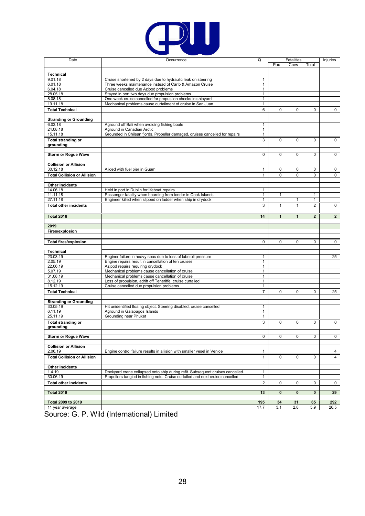

| Date                               | Occurrence                                                                     | Q              |                | <b>Fatalities</b> |                | Injuries       |
|------------------------------------|--------------------------------------------------------------------------------|----------------|----------------|-------------------|----------------|----------------|
|                                    |                                                                                |                | Pax            | Crew              | Total          |                |
|                                    |                                                                                |                |                |                   |                |                |
| <b>Technical</b>                   |                                                                                |                |                |                   |                |                |
| 9.01.18                            | Cruise shortened by 2 days due to hydraulic leak on steering                   | $\mathbf{1}$   |                |                   |                |                |
| 6.01.18                            | Three weeks maintenance instead of Carib & Amazon Cruise                       | $\mathbf{1}$   |                |                   |                |                |
| 6.04.18                            | Cruise cancelled due Azipod problems                                           | $\mathbf{1}$   |                |                   |                |                |
|                                    |                                                                                |                |                |                   |                |                |
| 28.05.18                           | Stayed in port two days due propulsion problems                                | $\mathbf{1}$   |                |                   |                |                |
| 8.08.18                            | One week cruise cancelled for propuslion checks in shipyard                    | 1              |                |                   |                |                |
| 19.11.18                           | Mechanical problems cause curtailment of cruise in San Juan                    | $\mathbf{1}$   |                |                   |                |                |
| <b>Total Technical</b>             |                                                                                | 6              | 0              | 0                 | 0              | $\mathbf 0$    |
|                                    |                                                                                |                |                |                   |                |                |
| <b>Stranding or Grounding</b>      |                                                                                |                |                |                   |                |                |
|                                    |                                                                                |                |                |                   |                |                |
| 6.03.18                            | Aground off Bali when avoiding fishing boats                                   | $\mathbf{1}$   |                |                   |                |                |
| 24.08.18                           | Aground in Canadian Arctic                                                     | 1              |                |                   |                |                |
| 15.11.18                           | Grounded in Chilean fjords. Propeller damaged, cruises cancelled for repairs   | 1              |                |                   |                |                |
| <b>Total stranding or</b>          |                                                                                | 3              | 0              | $\Omega$          | 0              | 0              |
| grounding                          |                                                                                |                |                |                   |                |                |
|                                    |                                                                                |                |                |                   |                |                |
|                                    |                                                                                |                | 0              |                   | 0              | $\mathbf 0$    |
| <b>Storm or Rogue Wave</b>         |                                                                                | 0              |                | $\mathbf 0$       |                |                |
|                                    |                                                                                |                |                |                   |                |                |
| <b>Collision or Allision</b>       |                                                                                |                |                |                   |                |                |
| 30.12.18                           | Alided with fuel pier in Guam                                                  | 1              | 0              | $\mathbf 0$       | 0              | 0              |
| <b>Total Collision or Allision</b> |                                                                                | $\mathbf{1}$   | 0              | 0                 | 0              | $\mathbf 0$    |
|                                    |                                                                                |                |                |                   |                |                |
|                                    |                                                                                |                |                |                   |                |                |
| <b>Other Incidents</b>             |                                                                                |                |                |                   |                |                |
| 14.06.18                           | Held in port in Dublin for lifeboat repairs                                    | $\mathbf{1}$   |                |                   |                |                |
| 11.11.18                           | Passenger fatality when boarding from tender in Cook Islands                   | 1              | 1              |                   | $\mathbf{1}$   |                |
| 27.11.18                           | Engineer killed when slipped on ladder when ship in drydock                    | $\mathbf{1}$   |                | $\mathbf{1}$      | $\mathbf{1}$   |                |
|                                    |                                                                                |                |                |                   |                |                |
| <b>Total other incidents</b>       |                                                                                | 3              | 1              | 1                 | 2              | $\mathbf{0}$   |
|                                    |                                                                                |                |                |                   |                |                |
| <b>Total 2018</b>                  |                                                                                | 14             | $\mathbf{1}$   | 1                 | $\overline{2}$ | $\overline{2}$ |
|                                    |                                                                                |                |                |                   |                |                |
| 2019                               |                                                                                |                |                |                   |                |                |
| Fires/explosion                    |                                                                                |                |                |                   |                |                |
|                                    |                                                                                |                |                |                   |                |                |
|                                    |                                                                                |                |                |                   |                |                |
| <b>Total fires/explosion</b>       |                                                                                | $\mathbf 0$    | 0              | 0                 | 0              | $\mathbf{0}$   |
|                                    |                                                                                |                |                |                   |                |                |
| Technical                          |                                                                                |                |                |                   |                |                |
| 23.03.19                           | Enginer failure in heavy seas due to loss of lube oli pressure                 | $\mathbf{1}$   |                |                   |                | 25             |
| 2.05.19                            | Engine repairs result in cancellation of ten cruises                           | 1              |                |                   |                |                |
|                                    |                                                                                |                |                |                   |                |                |
| 22.06.19                           | Azipod repairs requiring drydock                                               | $\mathbf{1}$   |                |                   |                |                |
| 5.07.19                            | Mechanical problems cause cancellation of cruise                               | $\mathbf{1}$   |                |                   |                |                |
| 31.08.19                           | Mechanical problems cause cancellation of cruise                               | 1              |                |                   |                |                |
| 8.12.19                            | Loss of propulsion, adrift off Teneriffe, cruise curtailed                     | 1              |                |                   |                |                |
| 15.12.19                           | Cruise cancelled due propulsion problems                                       | $\mathbf{1}$   |                |                   |                |                |
|                                    |                                                                                | $\overline{7}$ | 0              | 0                 | 0              | 25             |
| <b>Total Technical</b>             |                                                                                |                |                |                   |                |                |
|                                    |                                                                                |                |                |                   |                |                |
| <b>Stranding or Grounding</b>      |                                                                                |                |                |                   |                |                |
| 30.05.19                           | Hit unidentified floaing object. Steering disabled, cruise cancelled           | 1              |                |                   |                |                |
| 6.11.19                            | Aground in Galapagos Islands                                                   | 1              |                |                   |                |                |
| 25.11.19                           | <b>Grounding near Phuket</b>                                                   | 1              |                |                   |                |                |
|                                    |                                                                                |                |                | $\Omega$          |                |                |
| <b>Total stranding or</b>          |                                                                                | 3              | $\mathbf 0$    |                   | 0              | $\mathbf 0$    |
| grounding                          |                                                                                |                |                |                   |                |                |
|                                    |                                                                                |                |                |                   |                |                |
| <b>Storm or Roque Wave</b>         |                                                                                | $\mathbf 0$    | $\overline{0}$ | $\mathbf 0$       | 0              | $\overline{0}$ |
|                                    |                                                                                |                |                |                   |                |                |
| <b>Collision or Allision</b>       |                                                                                |                |                |                   |                |                |
| 2.06.19                            | Engine control failure results in allision with smaller vesel in Venice        | $\mathbf{1}$   |                |                   |                | $\overline{4}$ |
|                                    |                                                                                |                |                |                   |                |                |
| <b>Total Collision or Allision</b> |                                                                                | $\mathbf{1}$   | 0              | 0                 | 0              | 4              |
|                                    |                                                                                |                |                |                   |                |                |
| <b>Other Incidents</b>             |                                                                                |                |                |                   |                |                |
| 1.4.19                             | Dockyard crane collapsed onto ship during refit. Subsequent cruises cancelled. | $\mathbf{1}$   |                |                   |                |                |
| 30.06.19                           | Propellers tangled in fishing nets. Cruise curtailed and next cruise cancelled | $\mathbf{1}$   |                |                   |                |                |
|                                    |                                                                                |                |                |                   |                |                |
| <b>Total other incidents</b>       |                                                                                | $\overline{2}$ | 0              | $\mathbf 0$       | 0              | 0              |
|                                    |                                                                                |                |                |                   |                |                |
| <b>Total 2019</b>                  |                                                                                | 13             | 0              | $\mathbf 0$       | 0              | 29             |
|                                    |                                                                                |                |                |                   |                |                |
| Total 2009 to 2019                 |                                                                                | 195            | 34             | 31                | 65             | 292            |
| 11 year average                    |                                                                                | 17.7           | 3.1            | 2.8               | 5.9            | 26.5           |
|                                    |                                                                                |                |                |                   |                |                |

Source: G. P. Wild (International) Limited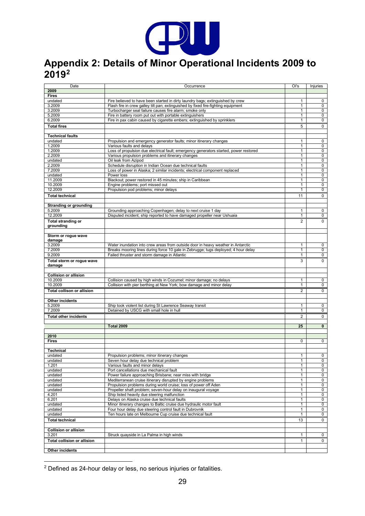

# <span id="page-28-0"></span>**Appendix 2: Details of Minor Operational Incidents 2009 to 2019[2](#page-28-1)**

| Date                                    | Occurrence                                                                                                                                   | Ol's                         | Injuries            |
|-----------------------------------------|----------------------------------------------------------------------------------------------------------------------------------------------|------------------------------|---------------------|
| 2009                                    |                                                                                                                                              |                              |                     |
| <b>Fires</b>                            |                                                                                                                                              |                              |                     |
| undated                                 | Fire believed to have been started in dirty laundry bags; extinguished by crew                                                               | $\mathbf{1}$                 | 0                   |
| 3.2009<br>3.2009                        | Flash fire in crew galley tilt pan; extinguished by fixed fire-fighting equipment<br>Turbocharger seal failure causes fire alarm; smoke only | $\mathbf{1}$<br>$\mathbf{1}$ | $\mathbf 0$<br>0    |
| 5.2009                                  | Fire in battery room put out with portable extinguishers                                                                                     | $\mathbf{1}$                 | 0                   |
| 6.2009                                  | Fire in pax cabin caused by cigarette embers; extinguished by sprinklers                                                                     | $\mathbf{1}$                 | $\mathbf 0$         |
| <b>Total fires</b>                      |                                                                                                                                              | 5                            | 0                   |
|                                         |                                                                                                                                              |                              |                     |
| <b>Technical faults</b>                 |                                                                                                                                              |                              |                     |
| undated                                 | Propulsion and emergency generator faults; minor itinerary changes                                                                           | $\mathbf{1}$                 | 0                   |
| 1.2009<br>1.2009                        | Various faults and delays                                                                                                                    | $\mathbf{1}$<br>$\mathbf{1}$ | 0<br>$\mathbf 0$    |
| 2.2009                                  | Loss of propulsion due electrical fault; emergency generators started, power restored<br>Various propulsion problems and itinerary changes   | $\mathbf{1}$                 | $\overline{0}$      |
| undated                                 | Oil leak from Azipod                                                                                                                         | $\mathbf{1}$                 | 0                   |
| 2.2009                                  | Schedule disruption in Indian Ocean due technical faults                                                                                     | $\mathbf{1}$                 | 0                   |
| 7.2009                                  | Loss of power in Alaska; 2 similar incidents; electrical component replaced                                                                  | $\mathbf{1}$                 | 0                   |
| undated                                 | Power loss                                                                                                                                   | $\mathbf{1}$                 | 0                   |
| 11.2009                                 | Blackout; power restored in 45 minutes; ship in Caribbean                                                                                    | $\mathbf{1}$                 | 0                   |
| 10.2009<br>12.2009                      | Engine problems; port missed out<br>Propulsion pod problems; minor delays                                                                    | $\mathbf{1}$<br>$\mathbf{1}$ | 0<br>0              |
|                                         |                                                                                                                                              |                              |                     |
| <b>Total technical</b>                  |                                                                                                                                              | 11                           | 0                   |
| <b>Stranding or grounding</b>           |                                                                                                                                              |                              |                     |
| 5.2009                                  | Grounding approaching Copenhagen; delay to next cruise 1 day                                                                                 | $\mathbf{1}$                 | 0                   |
| 12.2009                                 | Disputed incident; ship reported to have damaged propeller near Ushuaia                                                                      | $\mathbf{1}$                 | 0                   |
| <b>Total stranding or</b>               |                                                                                                                                              | 2                            | 0                   |
| grounding                               |                                                                                                                                              |                              |                     |
|                                         |                                                                                                                                              |                              |                     |
| Storm or rogue wave                     |                                                                                                                                              |                              |                     |
| damage<br>3.2009                        | Water inundation into crew areas from outside door in heavy weather in Antarctic                                                             | 1                            | 0                   |
| 7.2009                                  | Breaks mooring lines during force 10 gale in Zebrugge; tugs deployed; 4 hour delay                                                           | $\mathbf{1}$                 | 0                   |
| 9.2009                                  | Failed thruster and storm damage in Atlantic                                                                                                 | $\mathbf{1}$                 | $\overline{0}$      |
| Total storm or rogue wave               |                                                                                                                                              | 3                            | $\Omega$            |
| damage                                  |                                                                                                                                              |                              |                     |
|                                         |                                                                                                                                              |                              |                     |
| <b>Collision or allision</b><br>10.2009 | Collision caused by high winds in Cozumel; minor damage; no delays                                                                           | 1                            | 0                   |
| 10.2009                                 | Collision with pier berthing at New York; bow damage and minor delay                                                                         | $\overline{1}$               | 0                   |
| <b>Total collison or allision</b>       |                                                                                                                                              | 2                            | 0                   |
|                                         |                                                                                                                                              |                              |                     |
| Other incidents                         |                                                                                                                                              |                              |                     |
| 5.2009                                  | Ship took violent list during St Lawrence Seaway transit                                                                                     | 1                            | 0                   |
| 7.2009                                  | Detained by USCG with small hole in hull                                                                                                     | $\mathbf{1}$                 | 0                   |
| <b>Total other incidents</b>            |                                                                                                                                              | $\overline{2}$               | 0                   |
|                                         |                                                                                                                                              |                              |                     |
|                                         | <b>Total 2009</b>                                                                                                                            | 25                           | $\mathbf{0}$        |
| 2010                                    |                                                                                                                                              |                              |                     |
| <b>Fires</b>                            |                                                                                                                                              | $\mathbf 0$                  | $\mathbf 0$         |
|                                         |                                                                                                                                              |                              |                     |
| <b>Technical</b>                        |                                                                                                                                              |                              |                     |
| undated                                 | Propulsion problems: minor itinerary changes                                                                                                 | $\mathbf{1}$<br>$\mathbf{1}$ | $\overline{0}$      |
| undated<br>1.201                        | Seven hour delay due technical problem<br>Various faults and minor delays                                                                    | $\mathbf{1}$                 | $\mathbf{0}$<br>0   |
| undated                                 | Port cancellations due mechanical fault                                                                                                      | 1                            | 0                   |
| undated                                 | Power failure approaching Brisbane; near miss with bridge                                                                                    | $\mathbf{1}$                 | $\mathbf 0$         |
| undated                                 | Mediterranean cruise itinerary disrupted by engine problems                                                                                  | $\mathbf{1}$                 | $\mathbf 0$         |
| undated                                 | Propulsion problems during world cruise; loss of power off Aden                                                                              | $\mathbf{1}$                 | 0                   |
| undated                                 | Propeller shaft problem; seven-hour delay on inaugural voyage                                                                                | $\mathbf{1}$                 | $\mathbf 0$         |
| 4.201<br>6.201                          | Ship listed heavily due steering malfunction<br>Delays on Alaska cruise due technical faults                                                 | $\mathbf{1}$<br>1            | $\overline{0}$<br>0 |
| undated                                 | Minor itinerary changes to Baltic cruise due hydraulic motor fault                                                                           | $\mathbf{1}$                 | 0                   |
| undated                                 | Four hour delay due steering control fault in Dubrovnik                                                                                      | $\mathbf{1}$                 | 0                   |
| undated                                 | Ten hours late on Melbourne Cup cruise due technical fault                                                                                   | $\mathbf{1}$                 | $\mathbf 0$         |
| <b>Total technical</b>                  |                                                                                                                                              | 13                           | $\mathbf 0$         |
|                                         |                                                                                                                                              |                              |                     |
| <b>Collision or allision</b>            |                                                                                                                                              |                              |                     |
| 3.201                                   | Struck quayside in La Palma in high winds                                                                                                    | 1                            | $\mathbf{0}$        |
| <b>Total collision or allision</b>      |                                                                                                                                              | $\mathbf{1}$                 | $\mathbf{0}$        |
| Other incidents                         |                                                                                                                                              |                              |                     |
|                                         |                                                                                                                                              |                              |                     |

<span id="page-28-1"></span> $2$  Defined as 24-hour delay or less, no serious injuries or fatalities.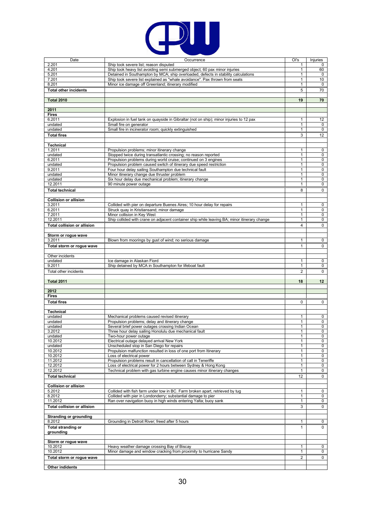

| Date                                    | Occurrence                                                                                      | Ol's              | Injuries       |
|-----------------------------------------|-------------------------------------------------------------------------------------------------|-------------------|----------------|
| 2.201                                   | Ship took severe list; reason disputed                                                          | 1                 | 0              |
| 4.201                                   | Ship took heavy list avoiding semi submerged object; 60 pax minor injuries                      | 1                 | 60             |
| 5.201                                   | Detained in Southampton by MCA; ship overloaded, defects in stability calculations              | 1                 | $\mathbf 0$    |
| 7.201                                   | Ship took severe list explained as "whale avoidance". Pax thrown from seats                     | 1                 | 10             |
| 8.201                                   | Minor ice damage off Greenland; itinerary modified                                              | $\mathbf{1}$      | $\mathbf 0$    |
| <b>Total other incidents</b>            |                                                                                                 | 5                 | 70             |
| <b>Total 2010</b>                       |                                                                                                 | 19                | 70             |
|                                         |                                                                                                 |                   |                |
| 2011                                    |                                                                                                 |                   |                |
| <b>Fires</b>                            |                                                                                                 |                   |                |
| 6.2011                                  | Explosion in fuel tank on quayside in Gibraltar (not on ship); minor injuries to 12 pax         | 1                 | 12             |
| undated                                 | Small fire on generator                                                                         | $\mathbf{1}$      | $\mathsf 0$    |
| undated                                 | Small fire in incinerator room; quickly extinguished                                            | 1                 | $\overline{0}$ |
| <b>Total fires</b>                      |                                                                                                 | 3                 | 12             |
|                                         |                                                                                                 |                   |                |
| <b>Technical</b><br>1.2011              | Propulsion problems; minor itinerary change                                                     | 1                 | 0              |
| undated                                 | Stopped twice during transatlantic crossing; no reason reported                                 | 1                 | 0              |
| 6.2011                                  | Propulsion problems during world cruise; continued on 3 engines                                 | $\mathbf{1}$      | $\overline{0}$ |
| undated                                 | Propulsion problem caused switch of itinerary due speed restriction                             | $\mathbf{1}$      | 0              |
| 9.2011                                  | Four hour delay sailing Southampton due technical fault                                         | $\mathbf{1}$      | 0              |
| undated                                 | Minor itinerary change due thruster problem                                                     | $\mathbf{1}$      | 0              |
| undated                                 | Six hour delay due mechanical problem; itinerary change                                         | $\mathbf{1}$      | $\mathbf 0$    |
| 12.2011                                 | 90 minute power outage                                                                          | $\mathbf{1}$      | $\mathbf 0$    |
| <b>Total technical</b>                  |                                                                                                 | 8                 | $\mathbf 0$    |
| <b>Collision or allision</b>            |                                                                                                 |                   |                |
| 3.2011                                  | Collided with pier on departure Buenes Aires; 10 hour delay for repairs                         | 1                 | 0              |
| 6.2011                                  | Struck quay in Kristiansand; minor damage                                                       | $\mathbf{1}$      | 0              |
| 7.2011                                  | Minor collision in Key West                                                                     | $\mathbf{1}$      | 0              |
| 12.2011                                 | Ship collided with crane on adjacent container ship while leaving BA; minor itinerary change    | 1                 | $\overline{0}$ |
| <b>Total collision or allision</b>      |                                                                                                 | 4                 | $\mathbf 0$    |
|                                         |                                                                                                 |                   |                |
| Storm or rogue wave                     |                                                                                                 |                   |                |
| 3.2011                                  | Blown from moorings by gust of wind; no serious damage                                          | 1                 | 0              |
| Total storm or rogue wave               |                                                                                                 | $\mathbf{1}$      | 0              |
|                                         |                                                                                                 |                   |                |
| Other incidents                         |                                                                                                 |                   |                |
| undated<br>9.2011                       | Ice damage in Alaskan Fiord<br>Ship detained by MCA in Southampton for lifeboat fault           | $\mathbf{1}$<br>1 | 0<br>0         |
|                                         |                                                                                                 | $\overline{2}$    | 0              |
| Total other incidents                   |                                                                                                 |                   |                |
| <b>Total 2011</b>                       |                                                                                                 | 18                | 12             |
|                                         |                                                                                                 |                   |                |
| 2012                                    |                                                                                                 |                   |                |
| <b>Fires</b>                            |                                                                                                 |                   |                |
| <b>Total fires</b>                      |                                                                                                 | 0                 | 0              |
|                                         |                                                                                                 |                   |                |
| <b>Technical</b>                        |                                                                                                 |                   |                |
| undated<br>undated                      | Mechanical problems caused revised itinerary<br>Propulsion problems; delay and itinerary change | $\mathbf{1}$<br>1 | 0<br>0         |
| undated                                 | Several brief power outages crossing Indian Ocean                                               | 1                 | 0              |
| 3.2012                                  | Three hour delay sailing Honolulu due mechanical fault                                          | 1                 | $\overline{0}$ |
| undated                                 | Two-hour power outage                                                                           | 1                 | 0              |
| 10.2012                                 | Electrical outage delayed arrival New York                                                      | 1                 | 0              |
| undated                                 | Unscheduled stop in San Diego for repairs                                                       | $\mathbf{1}$      | 0              |
| 10.2012                                 | Propulsion malfunction resulted in loss of one port from Itinerary                              | $\mathbf{1}$      | 0              |
| 10.2012<br>11.2012                      | Loss of electrical power<br>Propulsion problems result in cancellation of call in Teneriffe     | 1<br>$\mathbf{1}$ | 0<br>0         |
| 12.2012                                 | Loss of electrical power for 2 hours between Sydney & Hong Kong                                 | 1                 | 0              |
| 12.2012                                 | Technical problem with gas turbine engine causes minor itinerary changes                        | 1                 | 0              |
| <b>Total technical</b>                  |                                                                                                 | 12                | 0              |
|                                         |                                                                                                 |                   |                |
| <b>Collision or allision</b>            |                                                                                                 |                   |                |
| 5.2012                                  | Collided with fish farm under tow in BC. Farm broken apart, retrieved by tug                    | 1                 | 0              |
| 8.2012                                  | Collided with pier in Londonderry; substantial damage to pier                                   | 1                 | 0              |
| 11.2012                                 | Ran over navigation buoy in high winds entering Yalta; buoy sank                                | $\mathbf{1}$      | 0              |
| <b>Total collision or allision</b>      |                                                                                                 | 3                 | $\mathbf 0$    |
|                                         |                                                                                                 |                   |                |
| <b>Stranding or grounding</b><br>8.2012 | Grounding in Detroit River; freed after 5 hours                                                 | $\mathbf{1}$      | 0              |
|                                         |                                                                                                 |                   |                |
| <b>Total stranding or</b><br>grounding  |                                                                                                 | $\mathbf{1}$      | 0              |
|                                         |                                                                                                 |                   |                |
| Storm or rogue wave                     |                                                                                                 |                   |                |
| 10.2012                                 | Heavy weather damage crossing Bay of Biscay                                                     | 1                 | 0              |
| 10.2012                                 | Minor damage and window cracking from proximity to hurricane Sandy                              | 1                 | 0              |
| Total storm or rogue wave               |                                                                                                 | 2                 | 0              |
|                                         |                                                                                                 |                   |                |
| Other indidents                         |                                                                                                 |                   |                |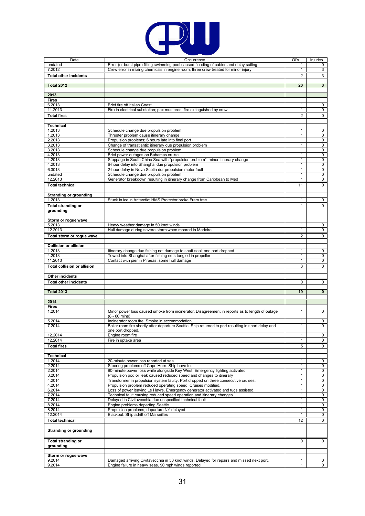

| Date                               | Occurrence                                                                                           | Ol's                         | Injuries         |
|------------------------------------|------------------------------------------------------------------------------------------------------|------------------------------|------------------|
| undated                            | Error (or burst pipe) filling swimming pool caused flooding of cabins and delay sailing              | 1                            | 0                |
| 7.2012                             | Crew error in mixing chemicals in engine room, three crew treated for minor injury                   | 1                            | 3                |
| <b>Total other incidents</b>       |                                                                                                      | 2                            | 3                |
|                                    |                                                                                                      |                              |                  |
| <b>Total 2012</b>                  |                                                                                                      | 20                           | $\mathbf{3}$     |
|                                    |                                                                                                      |                              |                  |
| 2013                               |                                                                                                      |                              |                  |
| <b>Fires</b>                       |                                                                                                      |                              |                  |
| 6.2013                             | Brief fire off Italian Coast                                                                         | 1                            | 0                |
| 11.2013                            | Fire in electrical substation; pax mustered; fire extinguished by crew                               | $\mathbf{1}$                 | 0                |
| <b>Total fires</b>                 |                                                                                                      | $\overline{c}$               | 0                |
|                                    |                                                                                                      |                              |                  |
| <b>Technical</b>                   |                                                                                                      |                              |                  |
| 1.2013                             | Schedule change due propulsion problem                                                               | 1                            | 0                |
| 1.2013<br>2.2013                   | Thruster problem cause itinerary change<br>Propulsion problems; 6 hours late into final port         | 1                            | 0                |
| 3.2013                             | Change of transatlantic itinerary due propulsion problem                                             | $\mathbf{1}$<br>$\mathbf{1}$ | $\mathbf 0$<br>0 |
| 3.2013                             | Schedule change due propulsion problem                                                               | 1                            | 0                |
| 4.2013                             | Brief power outages on Bahamas cruise                                                                | 1                            | $\mathbf 0$      |
| 4.2013                             | Stoppage in South China Sea with "propulsion problem"; minor itinerary change                        | $\mathbf{1}$                 | $\overline{0}$   |
| 4.2013                             | 6-hour delay into Shanghai due propulsion problem                                                    | $\mathbf{1}$                 | 0                |
| 6.3013                             | 2-hour delay in Nova Scotia dur propulsion motor fault                                               | $\mathbf{1}$                 | 0                |
| undated                            | Schedule change due propulsion problem                                                               | $\mathbf{1}$                 | 0                |
| 12.2013                            | Generator breakdown resulting in itinerary change from Caribbean to Med                              | $\mathbf{1}$                 | $\mathbf 0$      |
| <b>Total technical</b>             |                                                                                                      | 11                           | $\mathbf 0$      |
|                                    |                                                                                                      |                              |                  |
| <b>Stranding or grounding</b>      |                                                                                                      |                              |                  |
| 1.2013                             | Stuck in ice in Antarctic; HMS Protector broke Fram free                                             | 1                            | 0                |
| <b>Total stranding or</b>          |                                                                                                      | 1                            | $\Omega$         |
| grounding                          |                                                                                                      |                              |                  |
|                                    |                                                                                                      |                              |                  |
| Storm or rogue wave                |                                                                                                      |                              |                  |
| 5.2013                             | Heavy weather damage in 50 knot winds                                                                | 1                            | 0                |
| 12.2013                            | Hull damage during severe storm when moored in Madeira                                               | 1                            | 0                |
| Total storm or rogue wave          |                                                                                                      | $\overline{c}$               | $\Omega$         |
|                                    |                                                                                                      |                              |                  |
| <b>Collision or allision</b>       |                                                                                                      |                              |                  |
| 1.2013                             | Itinerary change due fishing net damage to shaft seal; one port dropped                              | 1                            | $\mathbf 0$      |
| 4.2013                             | Towed into Shanghai after fishing nets tangled in propeller                                          | $\mathbf{1}$                 | 0                |
| 11.2013                            | Contact with pier in Piraeas; some hull damage                                                       | 1                            | 0                |
| <b>Total collision or allision</b> |                                                                                                      | 3                            | $\mathbf 0$      |
|                                    |                                                                                                      |                              |                  |
| <b>Other incidents</b>             |                                                                                                      |                              |                  |
|                                    |                                                                                                      |                              |                  |
| <b>Total other incidents</b>       |                                                                                                      | 0                            | 0                |
| <b>Total 2013</b>                  |                                                                                                      | 19                           | $\mathbf{0}$     |
|                                    |                                                                                                      |                              |                  |
| 2014                               |                                                                                                      |                              |                  |
| <b>Fires</b>                       |                                                                                                      |                              |                  |
| 1.2014                             | Minor power loss caused smoke from incinerator. Disagreement in reports as to length of outage       | 1                            | 0                |
|                                    | $(8 - 60$ mins)                                                                                      |                              |                  |
| 5.2014                             | Incinerator room fire. Smoke in accommodation.                                                       | 1                            | 0                |
| 7.2014                             | Boiler room fire shortly after departure Seattle. Ship returned to port resulting in short delay and | $\mathbf{1}$                 | $\mathbf 0$      |
|                                    | one port dropped.                                                                                    |                              |                  |
| 12.2014                            | Engine room fire                                                                                     | $\mathbf{1}$                 | $\mathbf 0$      |
| 12.2014                            | Fire in uptake area                                                                                  | $\mathbf{1}$                 | 0                |
| <b>Total fires</b>                 |                                                                                                      | 5                            | $\mathbf 0$      |
|                                    |                                                                                                      |                              |                  |
| <b>Technical</b>                   |                                                                                                      |                              |                  |
| 1.2014                             | 20-minute power loss reported at sea                                                                 | 1                            | $\overline{0}$   |
| 2.2014                             | Steering problems off Cape Horn. Ship hove to.                                                       | 1                            | 0                |
| 2.2014                             | 90-minute power loss while alongside Key West. Emergency lighting activated.                         | 1                            | 0                |
| 3.2014                             | Propulsion pod oil leak caused reduced speed and changes to itinerary                                | $\mathbf{1}$                 | 0                |
| 4.2014                             | Transformer in propulsion system faulty. Port dropped on three consecutive cruises.                  | $\mathbf{1}$                 | 0                |
| 4.2014                             | Propulsion problem reduced operating speed. Cruises modified.                                        | 1                            | 0                |
| 6.2014                             | Loss of power leaving Le Havre. Emergency generator activated and tugs assisted.                     | $\mathbf{1}$                 | 0                |
| 7.2014                             | Technical fault causing reduced speed operation and itinerary changes.                               | $\mathbf{1}$                 | 0                |
| 7.2014                             | Delayed in Civitavecchia due unspecified technical fault                                             | 1                            | 0                |
| 8.2014                             | Engine problems departing Seattle                                                                    | $\mathbf{1}$                 | 0                |
| 8.2014                             | Propulsion problems, departure NY delayed                                                            | 1                            | 0                |
| 12.2014                            | Blackout. Ship adrift off Marseilles                                                                 | $\mathbf{1}$                 | $\mathbf 0$      |
| <b>Total technical</b>             |                                                                                                      | 12                           | 0                |
|                                    |                                                                                                      |                              |                  |
| <b>Stranding or grounding</b>      |                                                                                                      |                              |                  |
|                                    |                                                                                                      |                              |                  |
| <b>Total stranding or</b>          |                                                                                                      | 0                            | 0                |
| grounding                          |                                                                                                      |                              |                  |
|                                    |                                                                                                      |                              |                  |
| Storm or rogue wave                |                                                                                                      |                              |                  |
| 9.2014                             | Damaged arriving Civitavecchia in 50 knot winds. Delayed for repairs and missed next port.           | 1                            | 0                |
| 9.2014                             | Engine failure in heavy seas. 90 mph winds reported                                                  | $\mathbf{1}$                 | $\mathbf 0$      |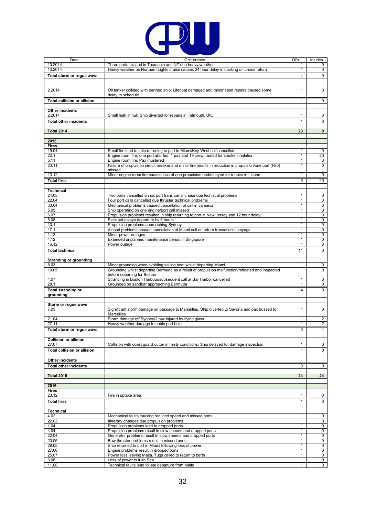

| Date                                   | Occurrence                                                                                                                             | Ol's           | Injuries       |
|----------------------------------------|----------------------------------------------------------------------------------------------------------------------------------------|----------------|----------------|
| 10.2014                                | Three ports missed in Tasmania and NZ due heavy weather.                                                                               | $\mathbf{1}$   | 0              |
| 10.2014                                | Heavy weather on Northern Lights cruise causes 24 hour delay in docking on cruise return                                               | 1              | $\mathbf 0$    |
| Total storm or rogue wave              |                                                                                                                                        | 4              | 0              |
|                                        |                                                                                                                                        |                |                |
|                                        |                                                                                                                                        |                |                |
| 2.2014                                 | Oil tanker collided with berthed ship. Lifeboat damaged and minor steel repairs caused some                                            | $\mathbf{1}$   | 0              |
|                                        | delay to schedule                                                                                                                      |                |                |
| <b>Total collision or allision</b>     |                                                                                                                                        | $\mathbf{1}$   | $\mathbf 0$    |
|                                        |                                                                                                                                        |                |                |
| Other incidents                        |                                                                                                                                        |                |                |
| 2.2014                                 | Small leak in hull. Ship diverted for repairs in Falmouth, UK.                                                                         | $\mathbf{1}$   | 0              |
| <b>Total other incidents</b>           |                                                                                                                                        | $\mathbf{1}$   | 0              |
|                                        |                                                                                                                                        |                |                |
| <b>Total 2014</b>                      |                                                                                                                                        | 23             | $\mathbf 0$    |
|                                        |                                                                                                                                        |                |                |
| 2015                                   |                                                                                                                                        |                |                |
| <b>Fires</b>                           |                                                                                                                                        |                |                |
| 19.04                                  | Small fire lead to ship returning to port in Miami/Key West call cancelled                                                             | 1              | 0              |
| 22.1                                   | Engine room fire, one port aborted. 1 pax and 19 crew treated for smoke inhalation                                                     | 1              | 20             |
| 5.11                                   | Engine room fire. Pax mustered                                                                                                         | $\mathbf{1}$   | 0              |
| 23.11                                  | Failure of propulsion circuit breaker and minor fire results in reduction in propulsion/one port (Hilo)                                | $\mathbf{1}$   | $\mathbf 0$    |
|                                        | missed                                                                                                                                 |                |                |
| 13.12                                  | Minor engine room fire causes loss of one propulsion pod/delayed for repairs in Lisbon                                                 | $\mathbf{1}$   | 0              |
| <b>Total fires</b>                     |                                                                                                                                        | 5              | 20             |
|                                        |                                                                                                                                        |                |                |
| <b>Technical</b><br>24.03              |                                                                                                                                        | $\mathbf{1}$   |                |
| 22.04                                  | Two ports cancelled on six port trans canal cruise due technical problems<br>Four port calls cancelled due thruster technical problems | $\mathbf{1}$   | 0<br>0         |
| 30.04                                  | Mechanical problems caused cancellation of call in Jamaica                                                                             | $\mathbf{1}$   | 0              |
| 5.05                                   | Ship operating on one engine/port call missed                                                                                          | 1              | 0              |
| 6.07                                   | Propulsion problems resulted in ship returning to port in New Jersey and 12 hour delay                                                 | $\mathbf{1}$   | 0              |
| 5.08                                   | Blackout delays departure by 6 hours                                                                                                   | 1              | 0              |
| 13.1                                   | Propulsion problems approaching Sydney                                                                                                 | 1              | 0              |
| 17.1                                   | Azipod problems caused cancellation of Miami call on return transatlantic voyage                                                       | $\mathbf{1}$   | 0              |
| 1.12                                   | Minor power outages                                                                                                                    | $\mathbf{1}$   | 0              |
| 4.12                                   | Extended unplanned maintenance period in Singapore                                                                                     | 1              | 0              |
| 16.12                                  | Power outage                                                                                                                           | 1              | $\mathbf 0$    |
| <b>Total technical</b>                 |                                                                                                                                        | 11             | 0              |
|                                        |                                                                                                                                        |                |                |
| <b>Stranding or grounding</b>          |                                                                                                                                        |                |                |
| 8.03                                   | Minor grounding when avoiding sailing boat whilst departing Miami                                                                      | $\mathbf{1}$   | 0              |
| 19.05                                  | Grounding whilst departing Bermuda as a result of propulsion malfunction/refloated and inspected                                       | $\mathbf{1}$   | $\mathbf 0$    |
|                                        | before departing for Boston<br>Stranding in Boston Harbour/subsequent call at Bar Harbor cancelled                                     | $\mathbf{1}$   | 0              |
| 4.07<br>28.1                           | Grounded on sandbar approaching Bermuda                                                                                                | 1              | 0              |
|                                        |                                                                                                                                        | $\overline{4}$ | 0              |
| <b>Total stranding or</b><br>grounding |                                                                                                                                        |                |                |
|                                        |                                                                                                                                        |                |                |
| Storm or rogue wave                    |                                                                                                                                        |                |                |
| 7.03                                   | Significant storm damage on passage to Marseilles. Ship diverted to Savona and pax bussed to                                           | $\mathbf{1}$   | $\mathbf 0$    |
|                                        | Marseilles                                                                                                                             |                |                |
| 21.04                                  | Storm damage off Sydney/2 pax injured by flying glass                                                                                  | 1              | $\overline{2}$ |
| 27.11                                  | Heavy weather damage to cabin port hole                                                                                                | 1              | 2              |
| Total storm or rogue wave              |                                                                                                                                        | 3              | $\overline{4}$ |
|                                        |                                                                                                                                        |                |                |
| <b>Collision or allision</b>           |                                                                                                                                        |                |                |
| 27.07                                  | Collision with coast guard cutter in misty conditions. Ship delayed for damage inspection                                              | 1              | $\mathbf{0}$   |
| <b>Total collision or allision</b>     |                                                                                                                                        | $\mathbf{1}$   | $\mathbf{0}$   |
|                                        |                                                                                                                                        |                |                |
| Other incidents                        |                                                                                                                                        |                |                |
| <b>Total other incidents</b>           |                                                                                                                                        | 0              | $\mathbf 0$    |
|                                        |                                                                                                                                        |                |                |
| <b>Total 2015</b>                      |                                                                                                                                        | 24             | 24             |
|                                        |                                                                                                                                        |                |                |
| 2016                                   |                                                                                                                                        |                |                |
| <b>Fires</b>                           |                                                                                                                                        |                |                |
| 23.12                                  | Fire in uptake area                                                                                                                    | $\mathbf{1}$   | $\mathbf 0$    |
| <b>Total fires</b>                     |                                                                                                                                        | $\mathbf{1}$   | $\mathbf 0$    |
|                                        |                                                                                                                                        |                |                |
| <b>Technical</b>                       |                                                                                                                                        | $\mathbf{1}$   | $\mathbf 0$    |
| 4.02<br>22.02                          | Mechanical faults causing reduced speed and missed ports<br>Itinerary changes due propulsion problems                                  | $\mathbf{1}$   | $\mathbf 0$    |
| 1.04                                   | Propulsion problems lead to dropped ports                                                                                              | $\mathbf{1}$   | 0              |
| 4.04                                   | Propulsion problems result in slow speeds and dropped ports                                                                            | $\mathbf{1}$   | 0              |
| 22.04                                  | Generator problems result in slow speeds and dropped ports                                                                             | $\mathbf{1}$   | $\mathbf 0$    |
| 20.05                                  | Bow thruster problems result in missed ports                                                                                           | $\mathbf{1}$   | 0              |
| 29.05                                  | Ship returned to port in Miami following loss of power                                                                                 | $\mathbf{1}$   | 0              |
| 27.06                                  | Engine problems result in dropped ports                                                                                                | $\mathbf{1}$   | $\mathbf 0$    |
| 25.07                                  | Power loss leaving Malta. Tugs called to return to berth                                                                               | 1              | 0              |
| 3.08                                   | Loss of power in Irish Sea                                                                                                             | 1              | 0              |
|                                        | Technical faults lead to late departure from Malta                                                                                     | $\mathbf{1}$   | $\mathbf 0$    |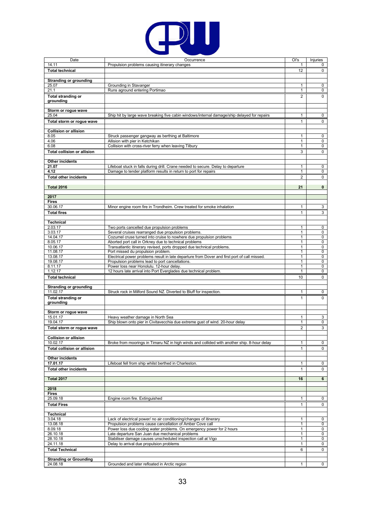

| Date                                 | Occurrence                                                                                                                                          | Ol's              | Injuries       |
|--------------------------------------|-----------------------------------------------------------------------------------------------------------------------------------------------------|-------------------|----------------|
| 14.11                                | Propulsion problems causing itinerary changes                                                                                                       | 1                 | 0              |
| <b>Total technical</b>               |                                                                                                                                                     | 12                | 0              |
| <b>Stranding or grounding</b>        |                                                                                                                                                     |                   |                |
| 25.07                                | Grounding in Stavanger                                                                                                                              | 1                 | 0              |
| 21.1                                 | Runs aground entering Portimao                                                                                                                      | 1                 | 0              |
| <b>Total stranding or</b>            |                                                                                                                                                     | $\overline{2}$    | $\Omega$       |
| grounding                            |                                                                                                                                                     |                   |                |
| Storm or rogue wave                  |                                                                                                                                                     |                   |                |
| 25.04                                | Ship hit by large wave breaking five cabin windows/internal damage/ship delayed for repairs                                                         | 1                 | 0              |
| Total storm or rogue wave            |                                                                                                                                                     | $\mathbf{1}$      | 0              |
|                                      |                                                                                                                                                     |                   |                |
| <b>Collision or allision</b><br>8.05 | Struck passenger gangway as berthing at Baltimore                                                                                                   | 1                 | 0              |
| 4.06                                 | Allision with pier in Ketchikan                                                                                                                     | 1                 | 0              |
| 6.08                                 | Collision with cross-river ferry when leaving Tilbury                                                                                               | 1                 | 0              |
| <b>Total collision or allision</b>   |                                                                                                                                                     | 3                 | $\mathbf 0$    |
|                                      |                                                                                                                                                     |                   |                |
| <b>Other incidents</b><br>21.07      |                                                                                                                                                     | 1                 | 0              |
| 4.12                                 | Lifeboat stuck in falls during drill. Crane needed to secure. Delay to departure<br>Damage to tender platform results in return to port for repairs | $\mathbf{1}$      | $\mathbf 0$    |
| <b>Total other incidents</b>         |                                                                                                                                                     | 2                 | 0              |
|                                      |                                                                                                                                                     |                   |                |
| <b>Total 2016</b>                    |                                                                                                                                                     | 21                | $\mathbf{0}$   |
|                                      |                                                                                                                                                     |                   |                |
| 2017<br><b>Fires</b>                 |                                                                                                                                                     |                   |                |
| 30.06.17                             | Minor engine room fire in Trondheim. Crew treated for smoke inhalation                                                                              | 1                 | 3              |
| <b>Total fires</b>                   |                                                                                                                                                     | $\mathbf{1}$      | 3              |
|                                      |                                                                                                                                                     |                   |                |
| <b>Technical</b>                     |                                                                                                                                                     |                   |                |
| 2.03.17                              | Two ports cancelled due propulsion problems                                                                                                         | 1                 | 0              |
| 3.03.17<br>14.04.17                  | Several cruises rearranged due propulsion problems.<br>Cozumel cruse turned into cruise to nowhere due propulsion problems                          | 1<br>$\mathbf{1}$ | 0<br>0         |
| 8.05.17                              | Aborted port call in Orkney due to technical problems                                                                                               | 1                 | 0              |
| 10.06.17                             | Transatlantic itinerary revised, ports dropped due technical problems.                                                                              | 1                 | 0              |
| 11.08.17                             | Port missed du propulsion problem.                                                                                                                  | 1                 | $\overline{0}$ |
| 13.08.17                             | Electrical power problems result in late departure from Dover and first port of call missed.                                                        | 1                 | 0              |
| 19.08.17                             | Propulsion problems lead to port cancellations.                                                                                                     | 1                 | 0              |
| 8.11.17<br>1.12.17                   | Power loss near Honolulu. 12-hour delay.<br>12 hours late arrival into Port Everglades due technical problem.                                       | 1<br>1            | 0<br>0         |
| <b>Total technical</b>               |                                                                                                                                                     | 10                | 0              |
|                                      |                                                                                                                                                     |                   |                |
| <b>Stranding or grounding</b>        |                                                                                                                                                     |                   |                |
| 11.02.17                             | Struck rock in Milford Sound NZ. Diverted to Bluff for inspection.                                                                                  | 1                 | $\mathbf 0$    |
| <b>Total stranding or</b>            |                                                                                                                                                     | $\mathbf{1}$      | $\mathbf 0$    |
| grounding                            |                                                                                                                                                     |                   |                |
| Storm or rogue wave                  |                                                                                                                                                     |                   |                |
| 15.01.17                             | Heavy weather damage in North Sea                                                                                                                   | 1                 | 3              |
| 19.04.17                             | Ship blown onto pier in Civitavecchia due extreme gust of wind. 20-hour delay                                                                       | 1                 | 0              |
| Total storm or rogue wave            |                                                                                                                                                     | $\overline{2}$    | 3              |
|                                      |                                                                                                                                                     |                   |                |
| <b>Collision or allision</b>         |                                                                                                                                                     |                   |                |
| 10.02.17                             | Broke from moorings in Timaru NZ in high winds and collided with another ship. 8-hour delay                                                         | 1                 | 0              |
| <b>Total collision or allision</b>   |                                                                                                                                                     | $\mathbf{1}$      | $\mathbf 0$    |
| Other incidents                      |                                                                                                                                                     |                   |                |
| 17.01.17                             | Lifeboat fell from ship whilst berthed in Charleston.                                                                                               | 1                 | 0              |
| <b>Total other incidents</b>         |                                                                                                                                                     | 1                 | 0              |
|                                      |                                                                                                                                                     |                   |                |
| <b>Total 2017</b>                    |                                                                                                                                                     | 16                | 6              |
| 2018                                 |                                                                                                                                                     |                   |                |
| <b>Fires</b>                         |                                                                                                                                                     |                   |                |
| 25.09.18                             | Engine room fire. Extinguished                                                                                                                      | 1                 | $\mathbf 0$    |
| <b>Total Fires</b>                   |                                                                                                                                                     | $\mathbf{1}$      | $\mathbf{0}$   |
|                                      |                                                                                                                                                     |                   |                |
| <b>Technical</b><br>3.04.18          | Lack of electrical power/ no air conditioning/changes of itinerary                                                                                  | $\mathbf{1}$      | 0              |
| 13.08.18                             | Propulsion problems cause cancellation of Amber Cove call                                                                                           | 1                 | 0              |
| 8.09.18                              | Power loss due cooling water problems. On emergency power for 2 hours                                                                               | $\mathbf{1}$      | $\mathsf{O}$   |
| 26.10.18                             | Late departure San Juan due mechanical problems                                                                                                     | 1                 | $\mathbf 0$    |
| 28.10.18                             | Stabiliser damage causes unscheduled inspection call at Vigo                                                                                        | 1                 | 0              |
| 24.11.18                             | Delay to arrival due propulsion problems                                                                                                            | $\mathbf{1}$      | $\mathbf{0}$   |
| <b>Total Technical</b>               |                                                                                                                                                     | 6                 | $\mathbf 0$    |
| <b>Stranding or Grounding</b>        |                                                                                                                                                     |                   |                |
| 24.08.18                             | Grounded and later refloated in Arctic region                                                                                                       | $\mathbf{1}$      | $\mathbf{0}$   |
|                                      |                                                                                                                                                     |                   |                |